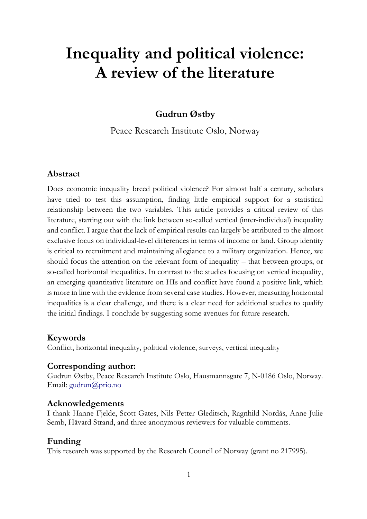# **Inequality and political violence: A review of the literature**

# **Gudrun Østby**

Peace Research Institute Oslo, Norway

# **Abstract**

Does economic inequality breed political violence? For almost half a century, scholars have tried to test this assumption, finding little empirical support for a statistical relationship between the two variables. This article provides a critical review of this literature, starting out with the link between so-called vertical (inter-individual) inequality and conflict. I argue that the lack of empirical results can largely be attributed to the almost exclusive focus on individual-level differences in terms of income or land. Group identity is critical to recruitment and maintaining allegiance to a military organization. Hence, we should focus the attention on the relevant form of inequality – that between groups, or so-called horizontal inequalities. In contrast to the studies focusing on vertical inequality, an emerging quantitative literature on HIs and conflict have found a positive link, which is more in line with the evidence from several case studies. However, measuring horizontal inequalities is a clear challenge, and there is a clear need for additional studies to qualify the initial findings. I conclude by suggesting some avenues for future research.

# **Keywords**

Conflict, horizontal inequality, political violence, surveys, vertical inequality

# **Corresponding author:**

Gudrun Østby, Peace Research Institute Oslo, Hausmannsgate 7, N-0186 Oslo, Norway. Email: [gudrun@prio.no](mailto:gudrun@prio.no)

# **Acknowledgements**

I thank Hanne Fjelde, Scott Gates, Nils Petter Gleditsch, Ragnhild Nordås, Anne Julie Semb, Håvard Strand, and three anonymous reviewers for valuable comments.

# **Funding**

This research was supported by the Research Council of Norway (grant no 217995).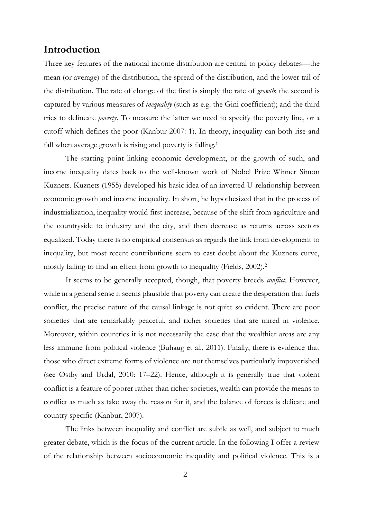# **Introduction**

Three key features of the national income distribution are central to policy debates—the mean (or average) of the distribution, the spread of the distribution, and the lower tail of the distribution. The rate of change of the first is simply the rate of *growth*; the second is captured by various measures of *inequality* (such as e.g. the Gini coefficient); and the third tries to delineate *poverty*. To measure the latter we need to specify the poverty line, or a cutoff which defines the poor (Kanbur 2007: 1). In theory, inequality can both rise and fall when average growth is rising and poverty is falling. 1

The starting point linking economic development, or the growth of such, and income inequality dates back to the well-known work of Nobel Prize Winner Simon Kuznets. Kuznets (1955) developed his basic idea of an inverted U-relationship between economic growth and income inequality. In short, he hypothesized that in the process of industrialization, inequality would first increase, because of the shift from agriculture and the countryside to industry and the city, and then decrease as returns across sectors equalized. Today there is no empirical consensus as regards the link from development to inequality, but most recent contributions seem to cast doubt about the Kuznets curve, mostly failing to find an effect from growth to inequality (Fields, 2002).<sup>2</sup>

It seems to be generally accepted, though, that poverty breeds *conflict*. However, while in a general sense it seems plausible that poverty can create the desperation that fuels conflict, the precise nature of the causal linkage is not quite so evident. There are poor societies that are remarkably peaceful, and richer societies that are mired in violence. Moreover, within countries it is not necessarily the case that the wealthier areas are any less immune from political violence (Buhaug et al., 2011). Finally, there is evidence that those who direct extreme forms of violence are not themselves particularly impoverished (see Østby and Urdal, 2010: 17–22). Hence, although it is generally true that violent conflict is a feature of poorer rather than richer societies, wealth can provide the means to conflict as much as take away the reason for it, and the balance of forces is delicate and country specific (Kanbur, 2007).

The links between inequality and conflict are subtle as well, and subject to much greater debate, which is the focus of the current article. In the following I offer a review of the relationship between socioeconomic inequality and political violence. This is a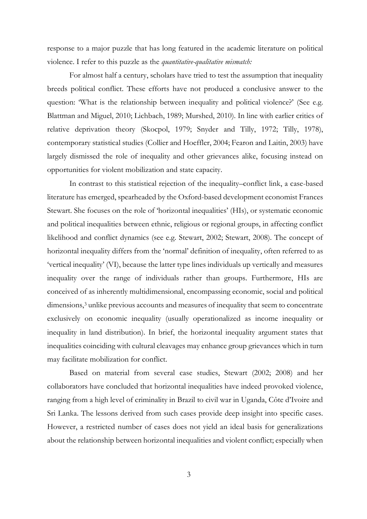response to a major puzzle that has long featured in the academic literature on political violence. I refer to this puzzle as the *quantitative-qualitative mismatch:*

For almost half a century, scholars have tried to test the assumption that inequality breeds political conflict. These efforts have not produced a conclusive answer to the question: 'What is the relationship between inequality and political violence?' (See e.g. Blattman and Miguel, 2010; Lichbach, 1989; Murshed, 2010). In line with earlier critics of relative deprivation theory (Skocpol, 1979; Snyder and Tilly, 1972; Tilly, 1978), contemporary statistical studies (Collier and Hoeffler, 2004; Fearon and Laitin, 2003) have largely dismissed the role of inequality and other grievances alike, focusing instead on opportunities for violent mobilization and state capacity.

In contrast to this statistical rejection of the inequality–conflict link, a case-based literature has emerged, spearheaded by the Oxford-based development economist Frances Stewart. She focuses on the role of 'horizontal inequalities' (HIs), or systematic economic and political inequalities between ethnic, religious or regional groups, in affecting conflict likelihood and conflict dynamics (see e.g. Stewart, 2002; Stewart, 2008). The concept of horizontal inequality differs from the 'normal' definition of inequality, often referred to as 'vertical inequality' (VI), because the latter type lines individuals up vertically and measures inequality over the range of individuals rather than groups. Furthermore, HIs are conceived of as inherently multidimensional, encompassing economic, social and political dimensions,<sup>3</sup> unlike previous accounts and measures of inequality that seem to concentrate exclusively on economic inequality (usually operationalized as income inequality or inequality in land distribution). In brief, the horizontal inequality argument states that inequalities coinciding with cultural cleavages may enhance group grievances which in turn may facilitate mobilization for conflict.

Based on material from several case studies, Stewart (2002; 2008) and her collaborators have concluded that horizontal inequalities have indeed provoked violence, ranging from a high level of criminality in Brazil to civil war in Uganda, Côte d'Ivoire and Sri Lanka. The lessons derived from such cases provide deep insight into specific cases. However, a restricted number of cases does not yield an ideal basis for generalizations about the relationship between horizontal inequalities and violent conflict; especially when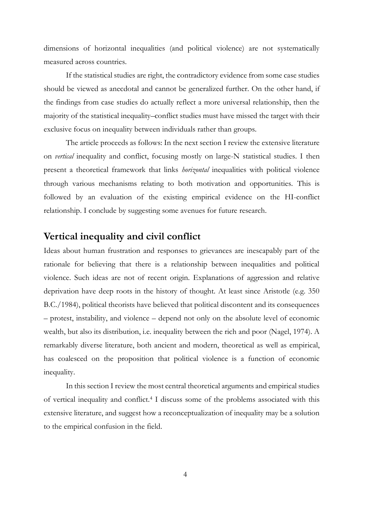dimensions of horizontal inequalities (and political violence) are not systematically measured across countries.

If the statistical studies are right, the contradictory evidence from some case studies should be viewed as anecdotal and cannot be generalized further. On the other hand, if the findings from case studies do actually reflect a more universal relationship, then the majority of the statistical inequality–conflict studies must have missed the target with their exclusive focus on inequality between individuals rather than groups.

The article proceeds as follows: In the next section I review the extensive literature on *vertical* inequality and conflict, focusing mostly on large-N statistical studies. I then present a theoretical framework that links *horizontal* inequalities with political violence through various mechanisms relating to both motivation and opportunities. This is followed by an evaluation of the existing empirical evidence on the HI-conflict relationship. I conclude by suggesting some avenues for future research.

# **Vertical inequality and civil conflict**

Ideas about human frustration and responses to grievances are inescapably part of the rationale for believing that there is a relationship between inequalities and political violence. Such ideas are not of recent origin. Explanations of aggression and relative deprivation have deep roots in the history of thought. At least since Aristotle (e.g. 350 B.C./1984), political theorists have believed that political discontent and its consequences – protest, instability, and violence – depend not only on the absolute level of economic wealth, but also its distribution, i.e. inequality between the rich and poor (Nagel, 1974). A remarkably diverse literature, both ancient and modern, theoretical as well as empirical, has coalesced on the proposition that political violence is a function of economic inequality.

In this section I review the most central theoretical arguments and empirical studies of vertical inequality and conflict.<sup>4</sup> I discuss some of the problems associated with this extensive literature, and suggest how a reconceptualization of inequality may be a solution to the empirical confusion in the field.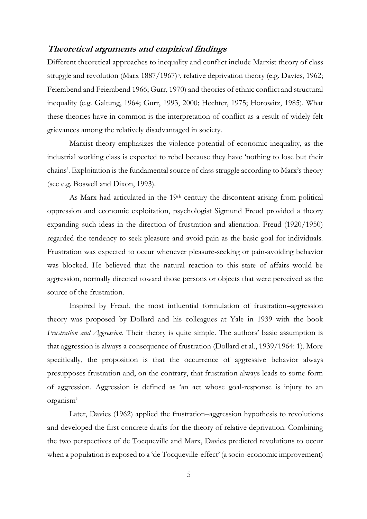# **Theoretical arguments and empirical findings**

Different theoretical approaches to inequality and conflict include Marxist theory of class struggle and revolution (Marx 1887/1967)<sup>5</sup> , relative deprivation theory (e.g. Davies, 1962; Feierabend and Feierabend 1966; Gurr, 1970) and theories of ethnic conflict and structural inequality (e.g. Galtung, 1964; Gurr, 1993, 2000; Hechter, 1975; Horowitz, 1985). What these theories have in common is the interpretation of conflict as a result of widely felt grievances among the relatively disadvantaged in society.

Marxist theory emphasizes the violence potential of economic inequality, as the industrial working class is expected to rebel because they have 'nothing to lose but their chains'. Exploitation is the fundamental source of class struggle according to Marx's theory (see e.g. Boswell and Dixon, 1993).

As Marx had articulated in the 19<sup>th</sup> century the discontent arising from political oppression and economic exploitation, psychologist Sigmund Freud provided a theory expanding such ideas in the direction of frustration and alienation. Freud (1920/1950) regarded the tendency to seek pleasure and avoid pain as the basic goal for individuals. Frustration was expected to occur whenever pleasure-seeking or pain-avoiding behavior was blocked. He believed that the natural reaction to this state of affairs would be aggression, normally directed toward those persons or objects that were perceived as the source of the frustration.

Inspired by Freud, the most influential formulation of frustration–aggression theory was proposed by Dollard and his colleagues at Yale in 1939 with the book *Frustration and Aggression*. Their theory is quite simple. The authors' basic assumption is that aggression is always a consequence of frustration (Dollard et al., 1939/1964: 1). More specifically, the proposition is that the occurrence of aggressive behavior always presupposes frustration and, on the contrary, that frustration always leads to some form of aggression. Aggression is defined as 'an act whose goal-response is injury to an organism'

Later, Davies (1962) applied the frustration–aggression hypothesis to revolutions and developed the first concrete drafts for the theory of relative deprivation. Combining the two perspectives of de Tocqueville and Marx, Davies predicted revolutions to occur when a population is exposed to a 'de Tocqueville-effect' (a socio-economic improvement)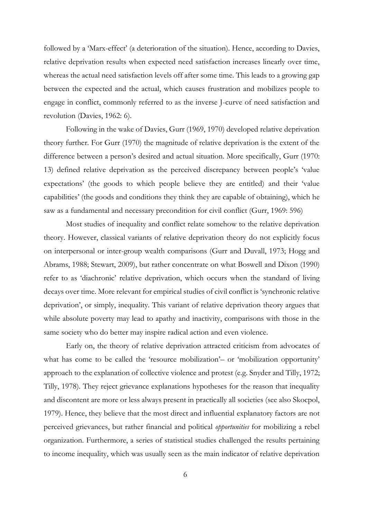followed by a 'Marx-effect' (a deterioration of the situation). Hence, according to Davies, relative deprivation results when expected need satisfaction increases linearly over time, whereas the actual need satisfaction levels off after some time. This leads to a growing gap between the expected and the actual, which causes frustration and mobilizes people to engage in conflict, commonly referred to as the inverse J-curve of need satisfaction and revolution (Davies, 1962: 6).

Following in the wake of Davies, Gurr (1969, 1970) developed relative deprivation theory further. For Gurr (1970) the magnitude of relative deprivation is the extent of the difference between a person's desired and actual situation. More specifically, Gurr (1970: 13) defined relative deprivation as the perceived discrepancy between people's 'value expectations' (the goods to which people believe they are entitled) and their 'value capabilities' (the goods and conditions they think they are capable of obtaining), which he saw as a fundamental and necessary precondition for civil conflict (Gurr, 1969: 596)

Most studies of inequality and conflict relate somehow to the relative deprivation theory. However, classical variants of relative deprivation theory do not explicitly focus on interpersonal or inter-group wealth comparisons (Gurr and Duvall, 1973; Hogg and Abrams, 1988; Stewart, 2009), but rather concentrate on what Boswell and Dixon (1990) refer to as 'diachronic' relative deprivation, which occurs when the standard of living decays over time. More relevant for empirical studies of civil conflict is 'synchronic relative deprivation', or simply, inequality. This variant of relative deprivation theory argues that while absolute poverty may lead to apathy and inactivity, comparisons with those in the same society who do better may inspire radical action and even violence.

Early on, the theory of relative deprivation attracted criticism from advocates of what has come to be called the 'resource mobilization'- or 'mobilization opportunity' approach to the explanation of collective violence and protest (e.g. Snyder and Tilly, 1972; Tilly, 1978). They reject grievance explanations hypotheses for the reason that inequality and discontent are more or less always present in practically all societies (see also Skocpol, 1979). Hence, they believe that the most direct and influential explanatory factors are not perceived grievances, but rather financial and political *opportunities* for mobilizing a rebel organization. Furthermore, a series of statistical studies challenged the results pertaining to income inequality, which was usually seen as the main indicator of relative deprivation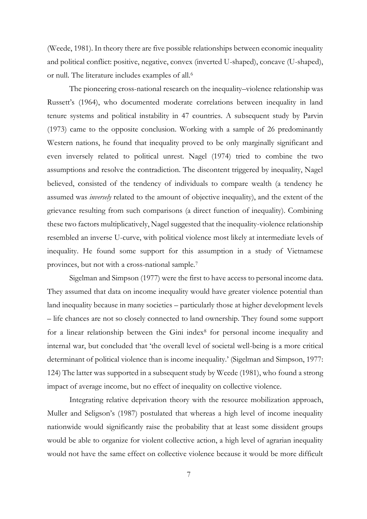(Weede, 1981). In theory there are five possible relationships between economic inequality and political conflict: positive, negative, convex (inverted U-shaped), concave (U-shaped), or null. The literature includes examples of all.<sup>6</sup>

The pioneering cross-national research on the inequality–violence relationship was Russett's (1964), who documented moderate correlations between inequality in land tenure systems and political instability in 47 countries. A subsequent study by Parvin (1973) came to the opposite conclusion. Working with a sample of 26 predominantly Western nations, he found that inequality proved to be only marginally significant and even inversely related to political unrest. Nagel (1974) tried to combine the two assumptions and resolve the contradiction. The discontent triggered by inequality, Nagel believed, consisted of the tendency of individuals to compare wealth (a tendency he assumed was *inversely* related to the amount of objective inequality), and the extent of the grievance resulting from such comparisons (a direct function of inequality). Combining these two factors multiplicatively, Nagel suggested that the inequality-violence relationship resembled an inverse U-curve, with political violence most likely at intermediate levels of inequality. He found some support for this assumption in a study of Vietnamese provinces, but not with a cross-national sample.<sup>7</sup>

Sigelman and Simpson (1977) were the first to have access to personal income data. They assumed that data on income inequality would have greater violence potential than land inequality because in many societies – particularly those at higher development levels – life chances are not so closely connected to land ownership. They found some support for a linear relationship between the Gini index<sup>8</sup> for personal income inequality and internal war, but concluded that 'the overall level of societal well-being is a more critical determinant of political violence than is income inequality.' (Sigelman and Simpson, 1977: 124) The latter was supported in a subsequent study by Weede (1981), who found a strong impact of average income, but no effect of inequality on collective violence.

Integrating relative deprivation theory with the resource mobilization approach, Muller and Seligson's (1987) postulated that whereas a high level of income inequality nationwide would significantly raise the probability that at least some dissident groups would be able to organize for violent collective action, a high level of agrarian inequality would not have the same effect on collective violence because it would be more difficult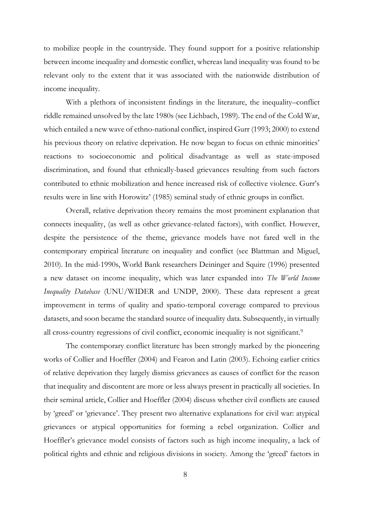to mobilize people in the countryside. They found support for a positive relationship between income inequality and domestic conflict, whereas land inequality was found to be relevant only to the extent that it was associated with the nationwide distribution of income inequality.

With a plethora of inconsistent findings in the literature, the inequality–conflict riddle remained unsolved by the late 1980s (see Lichbach, 1989). The end of the Cold War, which entailed a new wave of ethno-national conflict, inspired Gurr (1993; 2000) to extend his previous theory on relative deprivation. He now began to focus on ethnic minorities' reactions to socioeconomic and political disadvantage as well as state-imposed discrimination, and found that ethnically-based grievances resulting from such factors contributed to ethnic mobilization and hence increased risk of collective violence. Gurr's results were in line with Horowitz' (1985) seminal study of ethnic groups in conflict.

Overall, relative deprivation theory remains the most prominent explanation that connects inequality, (as well as other grievance-related factors), with conflict. However, despite the persistence of the theme, grievance models have not fared well in the contemporary empirical literature on inequality and conflict (see Blattman and Miguel, 2010). In the mid-1990s, World Bank researchers Deininger and Squire (1996) presented a new dataset on income inequality, which was later expanded into *The World Income Inequality Database* (UNU/WIDER and UNDP, 2000). These data represent a great improvement in terms of quality and spatio-temporal coverage compared to previous datasets, and soon became the standard source of inequality data. Subsequently, in virtually all cross-country regressions of civil conflict, economic inequality is not significant.<sup>9</sup>

The contemporary conflict literature has been strongly marked by the pioneering works of Collier and Hoeffler (2004) and Fearon and Latin (2003). Echoing earlier critics of relative deprivation they largely dismiss grievances as causes of conflict for the reason that inequality and discontent are more or less always present in practically all societies. In their seminal article, Collier and Hoeffler (2004) discuss whether civil conflicts are caused by 'greed' or 'grievance'. They present two alternative explanations for civil war: atypical grievances or atypical opportunities for forming a rebel organization. Collier and Hoeffler's grievance model consists of factors such as high income inequality, a lack of political rights and ethnic and religious divisions in society. Among the 'greed' factors in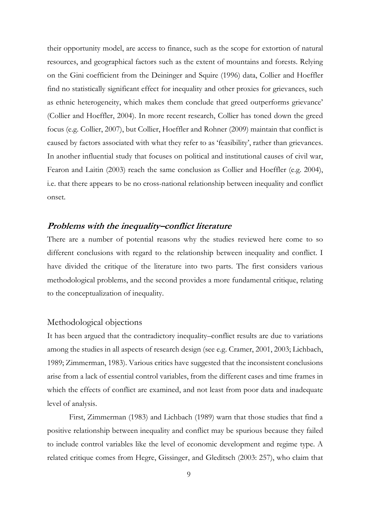their opportunity model, are access to finance, such as the scope for extortion of natural resources, and geographical factors such as the extent of mountains and forests. Relying on the Gini coefficient from the Deininger and Squire (1996) data, Collier and Hoeffler find no statistically significant effect for inequality and other proxies for grievances, such as ethnic heterogeneity, which makes them conclude that greed outperforms grievance' (Collier and Hoeffler, 2004). In more recent research, Collier has toned down the greed focus (e.g. Collier, 2007), but Collier, Hoeffler and Rohner (2009) maintain that conflict is caused by factors associated with what they refer to as 'feasibility', rather than grievances. In another influential study that focuses on political and institutional causes of civil war, Fearon and Laitin (2003) reach the same conclusion as Collier and Hoeffler (e.g. 2004), i.e. that there appears to be no cross-national relationship between inequality and conflict onset.

# **Problems with the inequality–conflict literature**

There are a number of potential reasons why the studies reviewed here come to so different conclusions with regard to the relationship between inequality and conflict. I have divided the critique of the literature into two parts. The first considers various methodological problems, and the second provides a more fundamental critique, relating to the conceptualization of inequality.

#### Methodological objections

It has been argued that the contradictory inequality–conflict results are due to variations among the studies in all aspects of research design (see e.g. Cramer, 2001, 2003; Lichbach, 1989; Zimmerman, 1983). Various critics have suggested that the inconsistent conclusions arise from a lack of essential control variables, from the different cases and time frames in which the effects of conflict are examined, and not least from poor data and inadequate level of analysis.

First, Zimmerman (1983) and Lichbach (1989) warn that those studies that find a positive relationship between inequality and conflict may be spurious because they failed to include control variables like the level of economic development and regime type. A related critique comes from Hegre, Gissinger, and Gleditsch (2003: 257), who claim that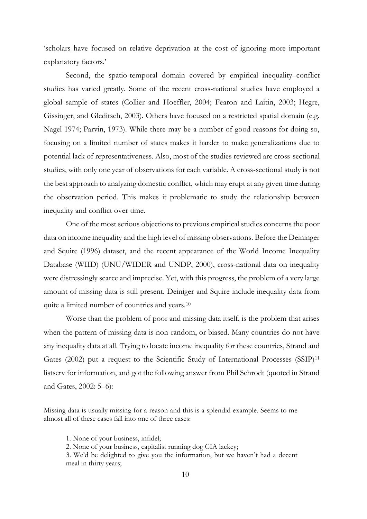'scholars have focused on relative deprivation at the cost of ignoring more important explanatory factors.'

Second, the spatio-temporal domain covered by empirical inequality–conflict studies has varied greatly. Some of the recent cross-national studies have employed a global sample of states (Collier and Hoeffler, 2004; Fearon and Laitin, 2003; Hegre, Gissinger, and Gleditsch, 2003). Others have focused on a restricted spatial domain (e.g. Nagel 1974; Parvin, 1973). While there may be a number of good reasons for doing so, focusing on a limited number of states makes it harder to make generalizations due to potential lack of representativeness. Also, most of the studies reviewed are cross-sectional studies, with only one year of observations for each variable. A cross-sectional study is not the best approach to analyzing domestic conflict, which may erupt at any given time during the observation period. This makes it problematic to study the relationship between inequality and conflict over time.

One of the most serious objections to previous empirical studies concerns the poor data on income inequality and the high level of missing observations. Before the Deininger and Squire (1996) dataset, and the recent appearance of the World Income Inequality Database (WIID) (UNU/WIDER and UNDP, 2000), cross-national data on inequality were distressingly scarce and imprecise. Yet, with this progress, the problem of a very large amount of missing data is still present. Deiniger and Squire include inequality data from quite a limited number of countries and years.<sup>10</sup>

Worse than the problem of poor and missing data itself, is the problem that arises when the pattern of missing data is non-random, or biased. Many countries do not have any inequality data at all. Trying to locate income inequality for these countries, Strand and Gates (2002) put a request to the Scientific Study of International Processes (SSIP)<sup>11</sup> listserv for information, and got the following answer from Phil Schrodt (quoted in Strand and Gates, 2002: 5–6):

Missing data is usually missing for a reason and this is a splendid example. Seems to me almost all of these cases fall into one of three cases:

1. None of your business, infidel;

2. None of your business, capitalist running dog CIA lackey;

3. We'd be delighted to give you the information, but we haven't had a decent meal in thirty years;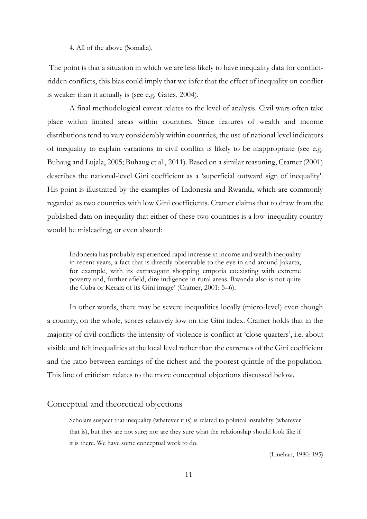4. All of the above (Somalia).

The point is that a situation in which we are less likely to have inequality data for conflictridden conflicts, this bias could imply that we infer that the effect of inequality on conflict is weaker than it actually is (see e.g. Gates, 2004).

A final methodological caveat relates to the level of analysis. Civil wars often take place within limited areas within countries. Since features of wealth and income distributions tend to vary considerably within countries, the use of national level indicators of inequality to explain variations in civil conflict is likely to be inappropriate (see e.g. Buhaug and Lujala, 2005; Buhaug et al., 2011). Based on a similar reasoning, Cramer (2001) describes the national-level Gini coefficient as a 'superficial outward sign of inequality'. His point is illustrated by the examples of Indonesia and Rwanda, which are commonly regarded as two countries with low Gini coefficients. Cramer claims that to draw from the published data on inequality that either of these two countries is a low-inequality country would be misleading, or even absurd:

Indonesia has probably experienced rapid increase in income and wealth inequality in recent years, a fact that is directly observable to the eye in and around Jakarta, for example, with its extravagant shopping emporia coexisting with extreme poverty and, further afield, dire indigence in rural areas. Rwanda also is not quite the Cuba or Kerala of its Gini image' (Cramer, 2001: 5–6).

In other words, there may be severe inequalities locally (micro-level) even though a country, on the whole, scores relatively low on the Gini index. Cramer holds that in the majority of civil conflicts the intensity of violence is conflict at 'close quarters', i.e. about visible and felt inequalities at the local level rather than the extremes of the Gini coefficient and the ratio between earnings of the richest and the poorest quintile of the population. This line of criticism relates to the more conceptual objections discussed below.

#### Conceptual and theoretical objections

Scholars suspect that inequality (whatever it is) is related to political instability (whatever that is), but they are not sure; nor are they sure what the relationship should look like if it is there. We have some conceptual work to do.

(Linehan, 1980: 195)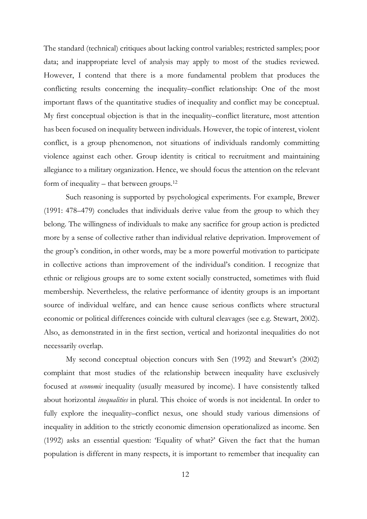The standard (technical) critiques about lacking control variables; restricted samples; poor data; and inappropriate level of analysis may apply to most of the studies reviewed. However, I contend that there is a more fundamental problem that produces the conflicting results concerning the inequality–conflict relationship: One of the most important flaws of the quantitative studies of inequality and conflict may be conceptual. My first conceptual objection is that in the inequality–conflict literature, most attention has been focused on inequality between individuals. However, the topic of interest, violent conflict, is a group phenomenon, not situations of individuals randomly committing violence against each other. Group identity is critical to recruitment and maintaining allegiance to a military organization. Hence, we should focus the attention on the relevant form of inequality – that between groups.<sup>12</sup>

Such reasoning is supported by psychological experiments. For example, Brewer (1991: 478–479) concludes that individuals derive value from the group to which they belong. The willingness of individuals to make any sacrifice for group action is predicted more by a sense of collective rather than individual relative deprivation. Improvement of the group's condition, in other words, may be a more powerful motivation to participate in collective actions than improvement of the individual's condition. I recognize that ethnic or religious groups are to some extent socially constructed, sometimes with fluid membership. Nevertheless, the relative performance of identity groups is an important source of individual welfare, and can hence cause serious conflicts where structural economic or political differences coincide with cultural cleavages (see e.g. Stewart, 2002). Also, as demonstrated in in the first section, vertical and horizontal inequalities do not necessarily overlap.

My second conceptual objection concurs with Sen (1992) and Stewart's (2002) complaint that most studies of the relationship between inequality have exclusively focused at *economic* inequality (usually measured by income). I have consistently talked about horizontal *inequalities* in plural. This choice of words is not incidental. In order to fully explore the inequality–conflict nexus, one should study various dimensions of inequality in addition to the strictly economic dimension operationalized as income. Sen (1992) asks an essential question: 'Equality of what?' Given the fact that the human population is different in many respects, it is important to remember that inequality can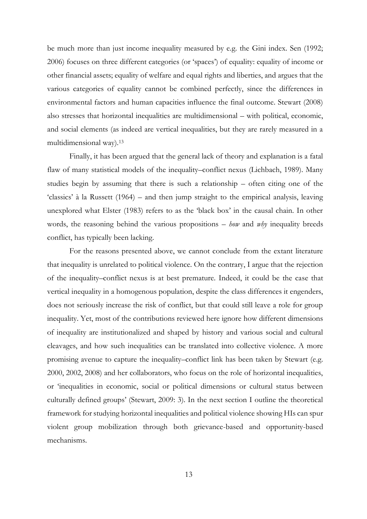be much more than just income inequality measured by e.g. the Gini index. Sen (1992; 2006) focuses on three different categories (or 'spaces') of equality: equality of income or other financial assets; equality of welfare and equal rights and liberties, and argues that the various categories of equality cannot be combined perfectly, since the differences in environmental factors and human capacities influence the final outcome. Stewart (2008) also stresses that horizontal inequalities are multidimensional – with political, economic, and social elements (as indeed are vertical inequalities, but they are rarely measured in a multidimensional way).<sup>13</sup>

Finally, it has been argued that the general lack of theory and explanation is a fatal flaw of many statistical models of the inequality–conflict nexus (Lichbach, 1989). Many studies begin by assuming that there is such a relationship – often citing one of the 'classics' à la Russett (1964) – and then jump straight to the empirical analysis, leaving unexplored what Elster (1983) refers to as the 'black box' in the causal chain. In other words, the reasoning behind the various propositions – *how* and *why* inequality breeds conflict, has typically been lacking.

For the reasons presented above, we cannot conclude from the extant literature that inequality is unrelated to political violence. On the contrary, I argue that the rejection of the inequality–conflict nexus is at best premature. Indeed, it could be the case that vertical inequality in a homogenous population, despite the class differences it engenders, does not seriously increase the risk of conflict, but that could still leave a role for group inequality. Yet, most of the contributions reviewed here ignore how different dimensions of inequality are institutionalized and shaped by history and various social and cultural cleavages, and how such inequalities can be translated into collective violence. A more promising avenue to capture the inequality–conflict link has been taken by Stewart (e.g. 2000, 2002, 2008) and her collaborators, who focus on the role of horizontal inequalities, or 'inequalities in economic, social or political dimensions or cultural status between culturally defined groups' (Stewart, 2009: 3). In the next section I outline the theoretical framework for studying horizontal inequalities and political violence showing HIs can spur violent group mobilization through both grievance-based and opportunity-based mechanisms.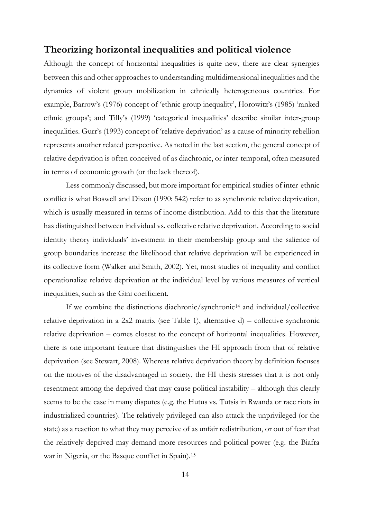# **Theorizing horizontal inequalities and political violence**

Although the concept of horizontal inequalities is quite new, there are clear synergies between this and other approaches to understanding multidimensional inequalities and the dynamics of violent group mobilization in ethnically heterogeneous countries. For example, Barrow's (1976) concept of 'ethnic group inequality', Horowitz's (1985) 'ranked ethnic groups'; and Tilly's (1999) 'categorical inequalities' describe similar inter-group inequalities. Gurr's (1993) concept of 'relative deprivation' as a cause of minority rebellion represents another related perspective. As noted in the last section, the general concept of relative deprivation is often conceived of as diachronic, or inter-temporal, often measured in terms of economic growth (or the lack thereof).

Less commonly discussed, but more important for empirical studies of inter-ethnic conflict is what Boswell and Dixon (1990: 542) refer to as synchronic relative deprivation, which is usually measured in terms of income distribution. Add to this that the literature has distinguished between individual vs. collective relative deprivation. According to social identity theory individuals' investment in their membership group and the salience of group boundaries increase the likelihood that relative deprivation will be experienced in its collective form (Walker and Smith, 2002). Yet, most studies of inequality and conflict operationalize relative deprivation at the individual level by various measures of vertical inequalities, such as the Gini coefficient.

If we combine the distinctions diachronic/synchronic<sup>14</sup> and individual/collective relative deprivation in a  $2x2$  matrix (see Table 1), alternative d) – collective synchronic relative deprivation – comes closest to the concept of horizontal inequalities. However, there is one important feature that distinguishes the HI approach from that of relative deprivation (see Stewart, 2008). Whereas relative deprivation theory by definition focuses on the motives of the disadvantaged in society, the HI thesis stresses that it is not only resentment among the deprived that may cause political instability – although this clearly seems to be the case in many disputes (e.g. the Hutus vs. Tutsis in Rwanda or race riots in industrialized countries). The relatively privileged can also attack the unprivileged (or the state) as a reaction to what they may perceive of as unfair redistribution, or out of fear that the relatively deprived may demand more resources and political power (e.g. the Biafra war in Nigeria, or the Basque conflict in Spain).15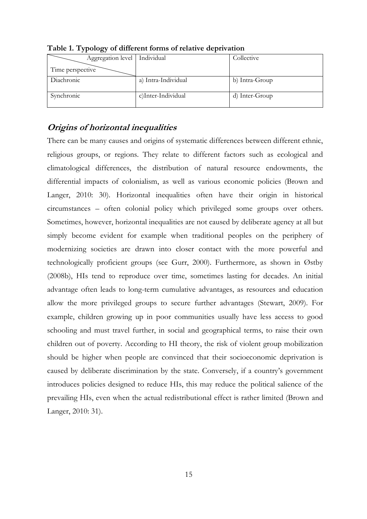| Aggregation level | Individual          | Collective     |
|-------------------|---------------------|----------------|
| Time perspective  |                     |                |
| Diachronic        | a) Intra-Individual | b) Intra-Group |
| Synchronic        | c)Inter-Individual  | d) Inter-Group |

**Table 1. Typology of different forms of relative deprivation** 

# **Origins of horizontal inequalities**

There can be many causes and origins of systematic differences between different ethnic, religious groups, or regions. They relate to different factors such as ecological and climatological differences, the distribution of natural resource endowments, the differential impacts of colonialism, as well as various economic policies (Brown and Langer, 2010: 30). Horizontal inequalities often have their origin in historical circumstances – often colonial policy which privileged some groups over others. Sometimes, however, horizontal inequalities are not caused by deliberate agency at all but simply become evident for example when traditional peoples on the periphery of modernizing societies are drawn into closer contact with the more powerful and technologically proficient groups (see Gurr, 2000). Furthermore, as shown in Østby (2008b), HIs tend to reproduce over time, sometimes lasting for decades. An initial advantage often leads to long-term cumulative advantages, as resources and education allow the more privileged groups to secure further advantages (Stewart, 2009). For example, children growing up in poor communities usually have less access to good schooling and must travel further, in social and geographical terms, to raise their own children out of poverty. According to HI theory, the risk of violent group mobilization should be higher when people are convinced that their socioeconomic deprivation is caused by deliberate discrimination by the state. Conversely, if a country's government introduces policies designed to reduce HIs, this may reduce the political salience of the prevailing HIs, even when the actual redistributional effect is rather limited (Brown and Langer, 2010: 31).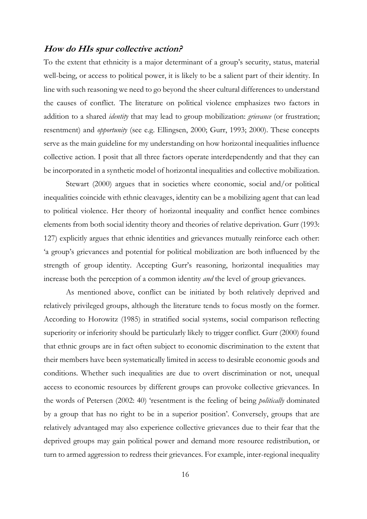# **How do HIs spur collective action?**

To the extent that ethnicity is a major determinant of a group's security, status, material well-being, or access to political power, it is likely to be a salient part of their identity. In line with such reasoning we need to go beyond the sheer cultural differences to understand the causes of conflict. The literature on political violence emphasizes two factors in addition to a shared *identity* that may lead to group mobilization: *grievance* (or frustration; resentment) and *opportunity* (see e.g. Ellingsen, 2000; Gurr, 1993; 2000). These concepts serve as the main guideline for my understanding on how horizontal inequalities influence collective action. I posit that all three factors operate interdependently and that they can be incorporated in a synthetic model of horizontal inequalities and collective mobilization.

Stewart (2000) argues that in societies where economic, social and/or political inequalities coincide with ethnic cleavages, identity can be a mobilizing agent that can lead to political violence. Her theory of horizontal inequality and conflict hence combines elements from both social identity theory and theories of relative deprivation. Gurr (1993: 127) explicitly argues that ethnic identities and grievances mutually reinforce each other: 'a group's grievances and potential for political mobilization are both influenced by the strength of group identity. Accepting Gurr's reasoning, horizontal inequalities may increase both the perception of a common identity *and* the level of group grievances.

As mentioned above, conflict can be initiated by both relatively deprived and relatively privileged groups, although the literature tends to focus mostly on the former. According to Horowitz (1985) in stratified social systems, social comparison reflecting superiority or inferiority should be particularly likely to trigger conflict. Gurr (2000) found that ethnic groups are in fact often subject to economic discrimination to the extent that their members have been systematically limited in access to desirable economic goods and conditions. Whether such inequalities are due to overt discrimination or not, unequal access to economic resources by different groups can provoke collective grievances. In the words of Petersen (2002: 40) 'resentment is the feeling of being *politically* dominated by a group that has no right to be in a superior position'. Conversely, groups that are relatively advantaged may also experience collective grievances due to their fear that the deprived groups may gain political power and demand more resource redistribution, or turn to armed aggression to redress their grievances. For example, inter-regional inequality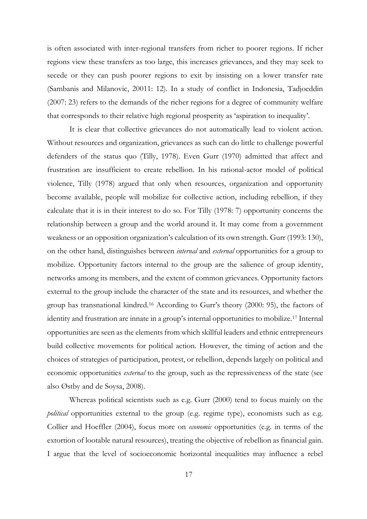is often associated with inter-regional transfers from richer to poorer regions. If richer regions view these transfers as too large, this increases grievances, and they may seek to secede or they can push poorer regions to exit by insisting on a lower transfer rate (Sambanis and Milanovic, 20011: 12). In a study of conflict in Indonesia, Tadjoeddin (2007: 23) refers to the demands of the richer regions for a degree of community welfare that corresponds to their relative high regional prosperity as 'aspiration to inequality'.

It is clear that collective grievances do not automatically lead to violent action. Without resources and organization, grievances as such can do little to challenge powerful defenders of the status quo (Tilly, 1978). Even Gurr (1970) admitted that affect and frustration are insufficient to create rebellion. In his rational-actor model of political violence, Tilly (1978) argued that only when resources, organization and opportunity become available, people will mobilize for collective action, including rebellion, if they calculate that it is in their interest to do so. For Tilly (1978: 7) opportunity concerns the relationship between a group and the world around it. It may come from a government weakness or an opposition organization's calculation of its own strength. Gurr (1993: 130), on the other hand, distinguishes between *internal* and *external* opportunities for a group to mobilize. Opportunity factors internal to the group are the salience of group identity, networks among its members, and the extent of common grievances. Opportunity factors external to the group include the character of the state and its resources, and whether the group has transnational kindred.<sup>16</sup> According to Gurr's theory (2000: 95), the factors of identity and frustration are innate in a group's internal opportunities to mobilize.<sup>17</sup> Internal opportunities are seen as the elements from which skillful leaders and ethnic entrepreneurs build collective movements for political action. However, the timing of action and the choices of strategies of participation, protest, or rebellion, depends largely on political and economic opportunities *external* to the group, such as the repressiveness of the state (see also Østby and de Soysa, 2008).

Whereas political scientists such as e.g. Gurr (2000) tend to focus mainly on the *political* opportunities external to the group (e.g. regime type), economists such as e.g. Collier and Hoeffler (2004), focus more on *economic* opportunities (e.g. in terms of the extortion of lootable natural resources), treating the objective of rebellion as financial gain. I argue that the level of socioeconomic horizontal inequalities may influence a rebel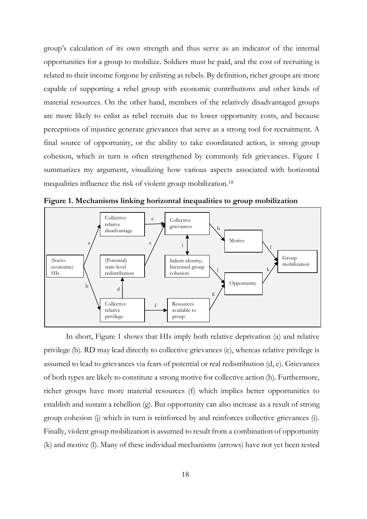group's calculation of its own strength and thus serve as an indicator of the internal opportunities for a group to mobilize. Soldiers must be paid, and the cost of recruiting is related to their income forgone by enlisting as rebels. By definition, richer groups are more capable of supporting a rebel group with economic contributions and other kinds of material resources. On the other hand, members of the relatively disadvantaged groups are more likely to enlist as rebel recruits due to lower opportunity costs, and because perceptions of injustice generate grievances that serve as a strong tool for recruitment. A final source of opportunity, or the ability to take coordinated action, is strong group cohesion, which in turn is often strengthened by commonly felt grievances. Figure 1 summarizes my argument, visualizing how various aspects associated with horizontal inequalities influence the risk of violent group mobilization.<sup>18</sup>



**Figure 1. Mechanisms linking horizontal inequalities to group mobilization** 

In short, Figure 1 shows that HIs imply both relative deprivation (a) and relative privilege (b). RD may lead directly to collective grievances (c), whereas relative privilege is assumed to lead to grievances via fears of potential or real redistribution (d, e). Grievances of both types are likely to constitute a strong motive for collective action (h). Furthermore, richer groups have more material resources (f) which implies better opportunities to establish and sustain a rebellion (g). But opportunity can also increase as a result of strong group cohesion (j) which in turn is reinforced by and reinforces collective grievances (i). Finally, violent group mobilization is assumed to result from a combination of opportunity (k) and motive (l). Many of these individual mechanisms (arrows) have not yet been tested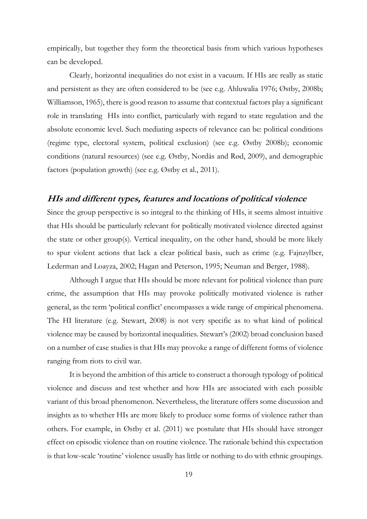empirically, but together they form the theoretical basis from which various hypotheses can be developed.

Clearly, horizontal inequalities do not exist in a vacuum. If HIs are really as static and persistent as they are often considered to be (see e.g. Ahluwalia 1976; Østby, 2008b; Williamson, 1965), there is good reason to assume that contextual factors play a significant role in translating HIs into conflict, particularly with regard to state regulation and the absolute economic level. Such mediating aspects of relevance can be: political conditions (regime type, electoral system, political exclusion) (see e.g. Østby 2008b); economic conditions (natural resources) (see e.g. Østby, Nordås and Rød, 2009), and demographic factors (population growth) (see e.g. Østby et al., 2011).

# **HIs and different types, features and locations of political violence**

Since the group perspective is so integral to the thinking of HIs, it seems almost intuitive that HIs should be particularly relevant for politically motivated violence directed against the state or other group(s). Vertical inequality, on the other hand, should be more likely to spur violent actions that lack a clear political basis, such as crime (e.g. Fajnzylber, Lederman and Loayza, 2002; Hagan and Peterson, 1995; Neuman and Berger, 1988).

Although I argue that HIs should be more relevant for political violence than pure crime, the assumption that HIs may provoke politically motivated violence is rather general, as the term 'political conflict' encompasses a wide range of empirical phenomena. The HI literature (e.g. Stewart, 2008) is not very specific as to what kind of political violence may be caused by horizontal inequalities. Stewart's (2002) broad conclusion based on a number of case studies is that HIs may provoke a range of different forms of violence ranging from riots to civil war.

It is beyond the ambition of this article to construct a thorough typology of political violence and discuss and test whether and how HIs are associated with each possible variant of this broad phenomenon. Nevertheless, the literature offers some discussion and insights as to whether HIs are more likely to produce some forms of violence rather than others. For example, in Østby et al. (2011) we postulate that HIs should have stronger effect on episodic violence than on routine violence. The rationale behind this expectation is that low-scale 'routine' violence usually has little or nothing to do with ethnic groupings.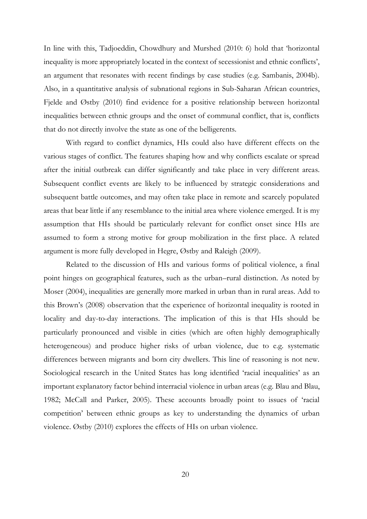In line with this, Tadjoeddin, Chowdhury and Murshed (2010: 6) hold that 'horizontal inequality is more appropriately located in the context of secessionist and ethnic conflicts', an argument that resonates with recent findings by case studies (e.g. Sambanis, 2004b). Also, in a quantitative analysis of subnational regions in Sub-Saharan African countries, Fjelde and Østby (2010) find evidence for a positive relationship between horizontal inequalities between ethnic groups and the onset of communal conflict, that is, conflicts that do not directly involve the state as one of the belligerents.

With regard to conflict dynamics, HIs could also have different effects on the various stages of conflict. The features shaping how and why conflicts escalate or spread after the initial outbreak can differ significantly and take place in very different areas. Subsequent conflict events are likely to be influenced by strategic considerations and subsequent battle outcomes, and may often take place in remote and scarcely populated areas that bear little if any resemblance to the initial area where violence emerged. It is my assumption that HIs should be particularly relevant for conflict onset since HIs are assumed to form a strong motive for group mobilization in the first place. A related argument is more fully developed in Hegre, Østby and Raleigh (2009).

Related to the discussion of HIs and various forms of political violence, a final point hinges on geographical features, such as the urban–rural distinction. As noted by Moser (2004), inequalities are generally more marked in urban than in rural areas. Add to this Brown's (2008) observation that the experience of horizontal inequality is rooted in locality and day-to-day interactions. The implication of this is that HIs should be particularly pronounced and visible in cities (which are often highly demographically heterogeneous) and produce higher risks of urban violence, due to e.g. systematic differences between migrants and born city dwellers. This line of reasoning is not new. Sociological research in the United States has long identified 'racial inequalities' as an important explanatory factor behind interracial violence in urban areas (e.g. Blau and Blau, 1982; McCall and Parker, 2005). These accounts broadly point to issues of 'racial competition' between ethnic groups as key to understanding the dynamics of urban violence. Østby (2010) explores the effects of HIs on urban violence.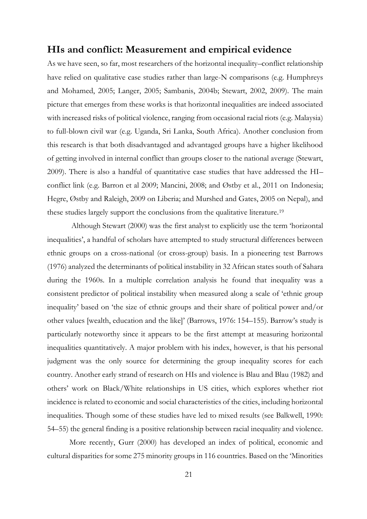# **HIs and conflict: Measurement and empirical evidence**

As we have seen, so far, most researchers of the horizontal inequality–conflict relationship have relied on qualitative case studies rather than large-N comparisons (e.g. Humphreys and Mohamed, 2005; Langer, 2005; Sambanis, 2004b; Stewart, 2002, 2009). The main picture that emerges from these works is that horizontal inequalities are indeed associated with increased risks of political violence, ranging from occasional racial riots (e.g. Malaysia) to full-blown civil war (e.g. Uganda, Sri Lanka, South Africa). Another conclusion from this research is that both disadvantaged and advantaged groups have a higher likelihood of getting involved in internal conflict than groups closer to the national average (Stewart, 2009). There is also a handful of quantitative case studies that have addressed the HI– conflict link (e.g. Barron et al 2009; Mancini, 2008; and Østby et al., 2011 on Indonesia; Hegre, Østby and Raleigh, 2009 on Liberia; and Murshed and Gates, 2005 on Nepal), and these studies largely support the conclusions from the qualitative literature.<sup>19</sup>

Although Stewart (2000) was the first analyst to explicitly use the term 'horizontal inequalities', a handful of scholars have attempted to study structural differences between ethnic groups on a cross-national (or cross-group) basis. In a pioneering test Barrows (1976) analyzed the determinants of political instability in 32 African states south of Sahara during the 1960s. In a multiple correlation analysis he found that inequality was a consistent predictor of political instability when measured along a scale of 'ethnic group inequality' based on 'the size of ethnic groups and their share of political power and/or other values [wealth, education and the like]' (Barrows, 1976: 154–155). Barrow's study is particularly noteworthy since it appears to be the first attempt at measuring horizontal inequalities quantitatively. A major problem with his index, however, is that his personal judgment was the only source for determining the group inequality scores for each country. Another early strand of research on HIs and violence is Blau and Blau (1982) and others' work on Black/White relationships in US cities, which explores whether riot incidence is related to economic and social characteristics of the cities, including horizontal inequalities. Though some of these studies have led to mixed results (see Balkwell, 1990: 54–55) the general finding is a positive relationship between racial inequality and violence.

More recently, Gurr (2000) has developed an index of political, economic and cultural disparities for some 275 minority groups in 116 countries. Based on the 'Minorities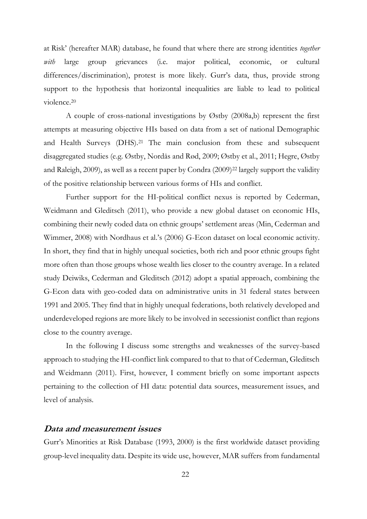at Risk' (hereafter MAR) database, he found that where there are strong identities *together with* large group grievances (i.e. major political, economic, or cultural differences/discrimination), protest is more likely. Gurr's data, thus, provide strong support to the hypothesis that horizontal inequalities are liable to lead to political violence.<sup>20</sup>

A couple of cross-national investigations by Østby (2008a,b) represent the first attempts at measuring objective HIs based on data from a set of national Demographic and Health Surveys (DHS).<sup>21</sup> The main conclusion from these and subsequent disaggregated studies (e.g. Østby, Nordås and Rød, 2009; Østby et al., 2011; Hegre, Østby and Raleigh, 2009), as well as a recent paper by Condra (2009)<sup>22</sup> largely support the validity of the positive relationship between various forms of HIs and conflict.

Further support for the HI-political conflict nexus is reported by Cederman, Weidmann and Gleditsch (2011), who provide a new global dataset on economic HIs, combining their newly coded data on ethnic groups' settlement areas (Min, Cederman and Wimmer, 2008) with Nordhaus et al.'s (2006) G-Econ dataset on local economic activity. In short, they find that in highly unequal societies, both rich and poor ethnic groups fight more often than those groups whose wealth lies closer to the country average. In a related study Deiwiks, Cederman and Gleditsch (2012) adopt a spatial approach, combining the G-Econ data with geo-coded data on administrative units in 31 federal states between 1991 and 2005. They find that in highly unequal federations, both relatively developed and underdeveloped regions are more likely to be involved in secessionist conflict than regions close to the country average.

In the following I discuss some strengths and weaknesses of the survey-based approach to studying the HI-conflict link compared to that to that of Cederman, Gleditsch and Weidmann (2011). First, however, I comment briefly on some important aspects pertaining to the collection of HI data: potential data sources, measurement issues, and level of analysis.

### **Data and measurement issues**

Gurr's Minorities at Risk Database (1993, 2000) is the first worldwide dataset providing group-level inequality data. Despite its wide use, however, MAR suffers from fundamental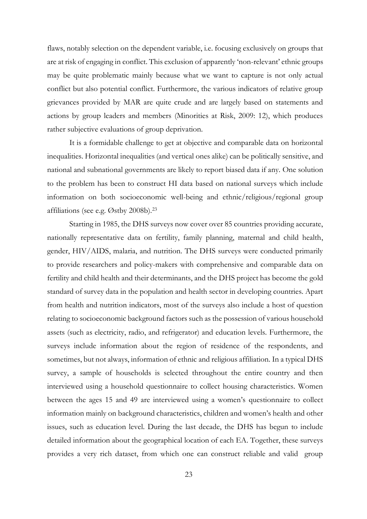flaws, notably selection on the dependent variable, i.e. focusing exclusively on groups that are at risk of engaging in conflict. This exclusion of apparently 'non-relevant' ethnic groups may be quite problematic mainly because what we want to capture is not only actual conflict but also potential conflict. Furthermore, the various indicators of relative group grievances provided by MAR are quite crude and are largely based on statements and actions by group leaders and members (Minorities at Risk, 2009: 12), which produces rather subjective evaluations of group deprivation.

It is a formidable challenge to get at objective and comparable data on horizontal inequalities. Horizontal inequalities (and vertical ones alike) can be politically sensitive, and national and subnational governments are likely to report biased data if any. One solution to the problem has been to construct HI data based on national surveys which include information on both socioeconomic well-being and ethnic/religious/regional group affiliations (see e.g. Østby 2008b).<sup>23</sup>

Starting in 1985, the DHS surveys now cover over 85 countries providing accurate, nationally representative data on fertility, family planning, maternal and child health, gender, HIV/AIDS, malaria, and nutrition. The DHS surveys were conducted primarily to provide researchers and policy-makers with comprehensive and comparable data on fertility and child health and their determinants, and the DHS project has become the gold standard of survey data in the population and health sector in developing countries. Apart from health and nutrition indicators, most of the surveys also include a host of question relating to socioeconomic background factors such as the possession of various household assets (such as electricity, radio, and refrigerator) and education levels. Furthermore, the surveys include information about the region of residence of the respondents, and sometimes, but not always, information of ethnic and religious affiliation. In a typical DHS survey, a sample of households is selected throughout the entire country and then interviewed using a household questionnaire to collect housing characteristics. Women between the ages 15 and 49 are interviewed using a women's questionnaire to collect information mainly on background characteristics, children and women's health and other issues, such as education level. During the last decade, the DHS has begun to include detailed information about the geographical location of each EA. Together, these surveys provides a very rich dataset, from which one can construct reliable and valid group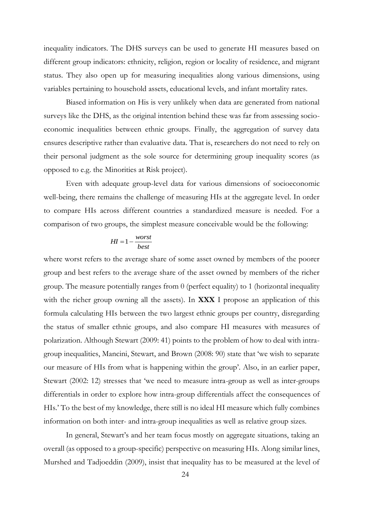inequality indicators. The DHS surveys can be used to generate HI measures based on different group indicators: ethnicity, religion, region or locality of residence, and migrant status. They also open up for measuring inequalities along various dimensions, using variables pertaining to household assets, educational levels, and infant mortality rates.

Biased information on His is very unlikely when data are generated from national surveys like the DHS, as the original intention behind these was far from assessing socioeconomic inequalities between ethnic groups. Finally, the aggregation of survey data ensures descriptive rather than evaluative data. That is, researchers do not need to rely on their personal judgment as the sole source for determining group inequality scores (as opposed to e.g. the Minorities at Risk project).

Even with adequate group-level data for various dimensions of socioeconomic well-being, there remains the challenge of measuring HIs at the aggregate level. In order to compare HIs across different countries a standardized measure is needed. For a comparison of two groups, the simplest measure conceivable would be the following:

$$
HI = 1 - \frac{worst}{best}
$$

where worst refers to the average share of some asset owned by members of the poorer group and best refers to the average share of the asset owned by members of the richer group. The measure potentially ranges from 0 (perfect equality) to 1 (horizontal inequality with the richer group owning all the assets). In **XXX** I propose an application of this formula calculating HIs between the two largest ethnic groups per country, disregarding the status of smaller ethnic groups, and also compare HI measures with measures of polarization. Although Stewart (2009: 41) points to the problem of how to deal with intragroup inequalities, Mancini, Stewart, and Brown (2008: 90) state that 'we wish to separate our measure of HIs from what is happening within the group'. Also, in an earlier paper, Stewart (2002: 12) stresses that 'we need to measure intra-group as well as inter-groups differentials in order to explore how intra-group differentials affect the consequences of HIs.' To the best of my knowledge, there still is no ideal HI measure which fully combines information on both inter- and intra-group inequalities as well as relative group sizes.

In general, Stewart's and her team focus mostly on aggregate situations, taking an overall (as opposed to a group-specific) perspective on measuring HIs. Along similar lines, Murshed and Tadjoeddin (2009), insist that inequality has to be measured at the level of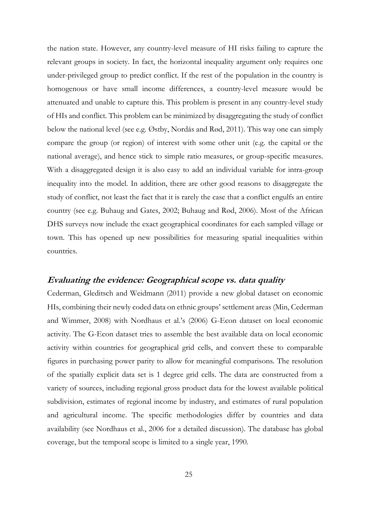the nation state. However, any country-level measure of HI risks failing to capture the relevant groups in society. In fact, the horizontal inequality argument only requires one under-privileged group to predict conflict. If the rest of the population in the country is homogenous or have small income differences, a country-level measure would be attenuated and unable to capture this. This problem is present in any country-level study of HIs and conflict. This problem can be minimized by disaggregating the study of conflict below the national level (see e.g. Østby, Nordås and Rød, 2011). This way one can simply compare the group (or region) of interest with some other unit (e.g. the capital or the national average), and hence stick to simple ratio measures, or group-specific measures. With a disaggregated design it is also easy to add an individual variable for intra-group inequality into the model. In addition, there are other good reasons to disaggregate the study of conflict, not least the fact that it is rarely the case that a conflict engulfs an entire country (see e.g. Buhaug and Gates, 2002; Buhaug and Rød, 2006). Most of the African DHS surveys now include the exact geographical coordinates for each sampled village or town. This has opened up new possibilities for measuring spatial inequalities within countries.

# **Evaluating the evidence: Geographical scope vs. data quality**

Cederman, Gleditsch and Weidmann (2011) provide a new global dataset on economic HIs, combining their newly coded data on ethnic groups' settlement areas (Min, Cederman and Wimmer, 2008) with Nordhaus et al.'s (2006) G-Econ dataset on local economic activity. The G-Econ dataset tries to assemble the best available data on local economic activity within countries for geographical grid cells, and convert these to comparable figures in purchasing power parity to allow for meaningful comparisons. The resolution of the spatially explicit data set is 1 degree grid cells. The data are constructed from a variety of sources, including regional gross product data for the lowest available political subdivision, estimates of regional income by industry, and estimates of rural population and agricultural income. The specific methodologies differ by countries and data availability (see Nordhaus et al., 2006 for a detailed discussion). The database has global coverage, but the temporal scope is limited to a single year, 1990.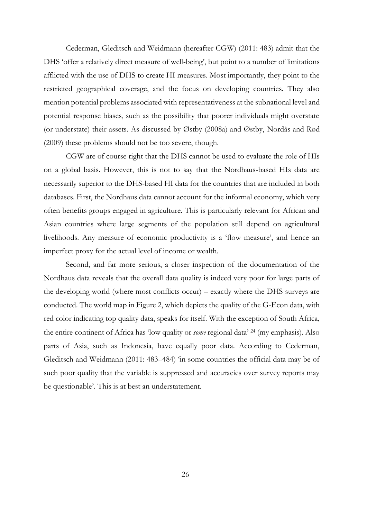Cederman, Gleditsch and Weidmann (hereafter CGW) (2011: 483) admit that the DHS 'offer a relatively direct measure of well-being', but point to a number of limitations afflicted with the use of DHS to create HI measures. Most importantly, they point to the restricted geographical coverage, and the focus on developing countries. They also mention potential problems associated with representativeness at the subnational level and potential response biases, such as the possibility that poorer individuals might overstate (or understate) their assets. As discussed by Østby (2008a) and Østby, Nordås and Rød (2009) these problems should not be too severe, though.

CGW are of course right that the DHS cannot be used to evaluate the role of HIs on a global basis. However, this is not to say that the Nordhaus-based HIs data are necessarily superior to the DHS-based HI data for the countries that are included in both databases. First, the Nordhaus data cannot account for the informal economy, which very often benefits groups engaged in agriculture. This is particularly relevant for African and Asian countries where large segments of the population still depend on agricultural livelihoods. Any measure of economic productivity is a 'flow measure', and hence an imperfect proxy for the actual level of income or wealth.

Second, and far more serious, a closer inspection of the documentation of the Nordhaus data reveals that the overall data quality is indeed very poor for large parts of the developing world (where most conflicts occur) – exactly where the DHS surveys are conducted. The world map in Figure 2, which depicts the quality of the G-Econ data, with red color indicating top quality data, speaks for itself. With the exception of South Africa, the entire continent of Africa has 'low quality or *some* regional data' <sup>24</sup> (my emphasis). Also parts of Asia, such as Indonesia, have equally poor data. According to Cederman, Gleditsch and Weidmann (2011: 483–484) 'in some countries the official data may be of such poor quality that the variable is suppressed and accuracies over survey reports may be questionable'. This is at best an understatement.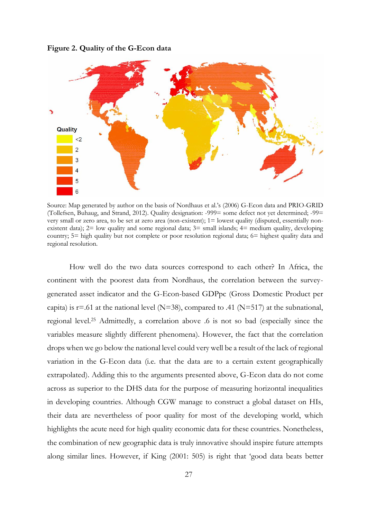**Figure 2. Quality of the G-Econ data**



Source: Map generated by author on the basis of Nordhaus et al.'s (2006) G-Econ data and PRIO-GRID (Tollefsen, Buhaug, and Strand, 2012). Quality designation: -999= some defect not yet determined; -99= very small or zero area, to be set at zero area (non-existent); 1= lowest quality (disputed, essentially nonexistent data); 2= low quality and some regional data; 3= small islands; 4= medium quality, developing country; 5= high quality but not complete or poor resolution regional data; 6= highest quality data and regional resolution.

How well do the two data sources correspond to each other? In Africa, the continent with the poorest data from Nordhaus, the correlation between the surveygenerated asset indicator and the G-Econ-based GDPpc (Gross Domestic Product per capita) is  $r=0.61$  at the national level (N=38), compared to .41 (N=517) at the subnational, regional level.<sup>25</sup> Admittedly, a correlation above .6 is not so bad (especially since the variables measure slightly different phenomena). However, the fact that the correlation drops when we go below the national level could very well be a result of the lack of regional variation in the G-Econ data (i.e. that the data are to a certain extent geographically extrapolated). Adding this to the arguments presented above, G-Econ data do not come across as superior to the DHS data for the purpose of measuring horizontal inequalities in developing countries. Although CGW manage to construct a global dataset on HIs, their data are nevertheless of poor quality for most of the developing world, which highlights the acute need for high quality economic data for these countries. Nonetheless, the combination of new geographic data is truly innovative should inspire future attempts along similar lines. However, if King (2001: 505) is right that 'good data beats better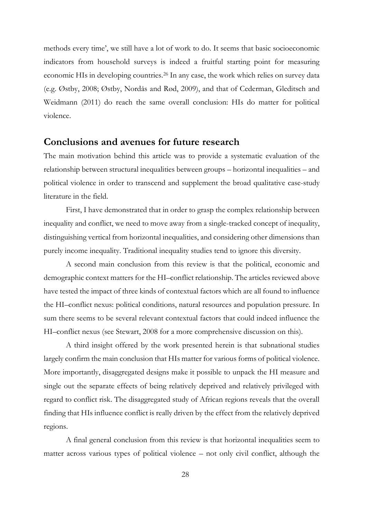methods every time', we still have a lot of work to do. It seems that basic socioeconomic indicators from household surveys is indeed a fruitful starting point for measuring economic HIs in developing countries.<sup>26</sup> In any case, the work which relies on survey data (e.g. Østby, 2008; Østby, Nordås and Rød, 2009), and that of Cederman, Gleditsch and Weidmann (2011) do reach the same overall conclusion: HIs do matter for political violence.

# **Conclusions and avenues for future research**

The main motivation behind this article was to provide a systematic evaluation of the relationship between structural inequalities between groups – horizontal inequalities – and political violence in order to transcend and supplement the broad qualitative case-study literature in the field.

First, I have demonstrated that in order to grasp the complex relationship between inequality and conflict, we need to move away from a single-tracked concept of inequality, distinguishing vertical from horizontal inequalities, and considering other dimensions than purely income inequality. Traditional inequality studies tend to ignore this diversity.

A second main conclusion from this review is that the political, economic and demographic context matters for the HI–conflict relationship. The articles reviewed above have tested the impact of three kinds of contextual factors which are all found to influence the HI–conflict nexus: political conditions, natural resources and population pressure. In sum there seems to be several relevant contextual factors that could indeed influence the HI–conflict nexus (see Stewart, 2008 for a more comprehensive discussion on this).

A third insight offered by the work presented herein is that subnational studies largely confirm the main conclusion that HIs matter for various forms of political violence. More importantly, disaggregated designs make it possible to unpack the HI measure and single out the separate effects of being relatively deprived and relatively privileged with regard to conflict risk. The disaggregated study of African regions reveals that the overall finding that HIs influence conflict is really driven by the effect from the relatively deprived regions.

A final general conclusion from this review is that horizontal inequalities seem to matter across various types of political violence – not only civil conflict, although the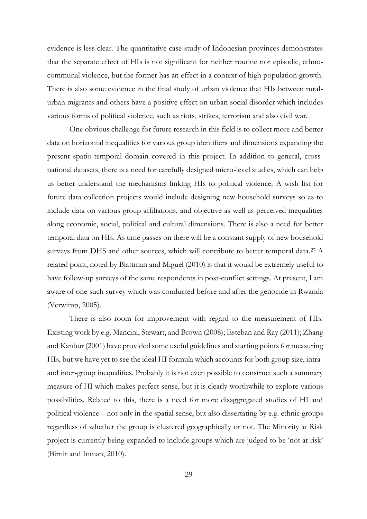evidence is less clear. The quantitative case study of Indonesian provinces demonstrates that the separate effect of HIs is not significant for neither routine nor episodic, ethnocommunal violence, but the former has an effect in a context of high population growth. There is also some evidence in the final study of urban violence that HIs between ruralurban migrants and others have a positive effect on urban social disorder which includes various forms of political violence, such as riots, strikes, terrorism and also civil war.

One obvious challenge for future research in this field is to collect more and better data on horizontal inequalities for various group identifiers and dimensions expanding the present spatio-temporal domain covered in this project. In addition to general, crossnational datasets, there is a need for carefully designed micro-level studies, which can help us better understand the mechanisms linking HIs to political violence. A wish list for future data collection projects would include designing new household surveys so as to include data on various group affiliations, and objective as well as perceived inequalities along economic, social, political and cultural dimensions. There is also a need for better temporal data on HIs. As time passes on there will be a constant supply of new household surveys from DHS and other sources, which will contribute to better temporal data.<sup>27</sup> A related point, noted by Blattman and Miguel (2010) is that it would be extremely useful to have follow-up surveys of the same respondents in post-conflict settings. At present, I am aware of one such survey which was conducted before and after the genocide in Rwanda (Verwimp, 2005).

There is also room for improvement with regard to the measurement of HIs. Existing work by e.g. Mancini, Stewart, and Brown (2008); Esteban and Ray (2011); Zhang and Kanbur (2001) have provided some useful guidelines and starting points for measuring HIs, but we have yet to see the ideal HI formula which accounts for both group size, intraand inter-group inequalities. Probably it is not even possible to construct such a summary measure of HI which makes perfect sense, but it is clearly worthwhile to explore various possibilities. Related to this, there is a need for more disaggregated studies of HI and political violence – not only in the spatial sense, but also dissertating by e.g. ethnic groups regardless of whether the group is clustered geographically or not. The Minority at Risk project is currently being expanded to include groups which are judged to be 'not at risk' (Birnir and Inman, 2010).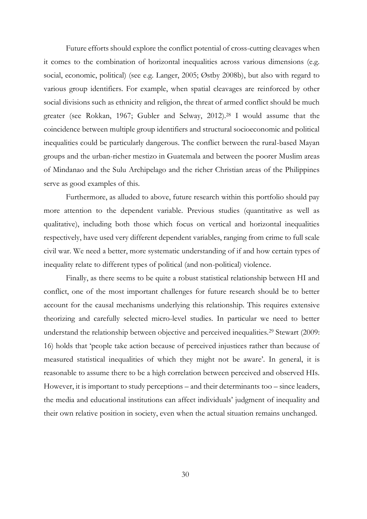Future efforts should explore the conflict potential of cross-cutting cleavages when it comes to the combination of horizontal inequalities across various dimensions (e.g. social, economic, political) (see e.g. Langer, 2005; Østby 2008b), but also with regard to various group identifiers. For example, when spatial cleavages are reinforced by other social divisions such as ethnicity and religion, the threat of armed conflict should be much greater (see Rokkan, 1967; Gubler and Selway, 2012).<sup>28</sup> I would assume that the coincidence between multiple group identifiers and structural socioeconomic and political inequalities could be particularly dangerous. The conflict between the rural-based Mayan groups and the urban-richer mestizo in Guatemala and between the poorer Muslim areas of Mindanao and the Sulu Archipelago and the richer Christian areas of the Philippines serve as good examples of this.

Furthermore, as alluded to above, future research within this portfolio should pay more attention to the dependent variable. Previous studies (quantitative as well as qualitative), including both those which focus on vertical and horizontal inequalities respectively, have used very different dependent variables, ranging from crime to full scale civil war. We need a better, more systematic understanding of if and how certain types of inequality relate to different types of political (and non-political) violence.

Finally, as there seems to be quite a robust statistical relationship between HI and conflict, one of the most important challenges for future research should be to better account for the causal mechanisms underlying this relationship. This requires extensive theorizing and carefully selected micro-level studies. In particular we need to better understand the relationship between objective and perceived inequalities.<sup>29</sup> Stewart (2009: 16) holds that 'people take action because of perceived injustices rather than because of measured statistical inequalities of which they might not be aware'. In general, it is reasonable to assume there to be a high correlation between perceived and observed HIs. However, it is important to study perceptions – and their determinants too – since leaders, the media and educational institutions can affect individuals' judgment of inequality and their own relative position in society, even when the actual situation remains unchanged.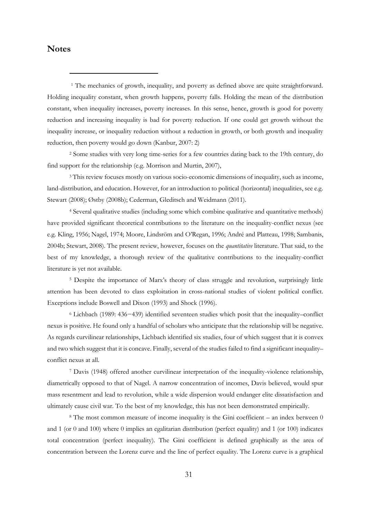## **Notes**

-

<sup>1</sup> The mechanics of growth, inequality, and poverty as defined above are quite straightforward. Holding inequality constant, when growth happens, poverty falls. Holding the mean of the distribution constant, when inequality increases, poverty increases. In this sense, hence, growth is good for poverty reduction and increasing inequality is bad for poverty reduction. If one could get growth without the inequality increase, or inequality reduction without a reduction in growth, or both growth and inequality reduction, then poverty would go down (Kanbur, 2007: 2)

<sup>2</sup> Some studies with very long time-series for a few countries dating back to the 19th century, do find support for the relationship (e.g. Morrison and Murtin, 2007),

<sup>3</sup> This review focuses mostly on various socio-economic dimensions of inequality, such as income, land-distribution, and education. However, for an introduction to political (horizontal) inequalities, see e.g. Stewart (2008); Østby (2008b); Cederman, Gleditsch and Weidmann (2011).

<sup>4</sup> Several qualitative studies (including some which combine qualitative and quantitative methods) have provided significant theoretical contributions to the literature on the inequality-conflict nexus (see e.g. Kling, 1956; Nagel, 1974; Moore, Lindsröm and O'Regan, 1996; André and Platteau, 1998; Sambanis, 2004b; Stewart, 2008). The present review, however, focuses on the *quantitative* literature. That said, to the best of my knowledge, a thorough review of the qualitative contributions to the inequality-conflict literature is yet not available.

<sup>5</sup> Despite the importance of Marx's theory of class struggle and revolution, surprisingly little attention has been devoted to class exploitation in cross-national studies of violent political conflict. Exceptions include Boswell and Dixon (1993) and Shock (1996).

<sup>6</sup> Lichbach (1989: 436−439) identified seventeen studies which posit that the inequality–conflict nexus is positive. He found only a handful of scholars who anticipate that the relationship will be negative. As regards curvilinear relationships, Lichbach identified six studies, four of which suggest that it is convex and two which suggest that it is concave. Finally, several of the studies failed to find a significant inequality– conflict nexus at all.

<sup>7</sup> Davis (1948) offered another curvilinear interpretation of the inequality-violence relationship, diametrically opposed to that of Nagel. A narrow concentration of incomes, Davis believed, would spur mass resentment and lead to revolution, while a wide dispersion would endanger elite dissatisfaction and ultimately cause civil war. To the best of my knowledge, this has not been demonstrated empirically.

<sup>8</sup> The most common measure of income inequality is the Gini coefficient – an index between 0 and 1 (or 0 and 100) where 0 implies an egalitarian distribution (perfect equality) and 1 (or 100) indicates total concentration (perfect inequality). The Gini coefficient is defined graphically as the area of concentration between the Lorenz curve and the line of perfect equality. The Lorenz curve is a graphical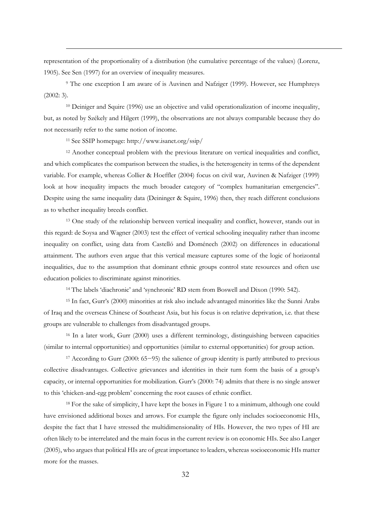representation of the proportionality of a distribution (the cumulative percentage of the values) (Lorenz, 1905). See Sen (1997) for an overview of inequality measures.

<sup>9</sup> The one exception I am aware of is Auvinen and Nafziger (1999). However, see Humphreys (2002: 3).

<sup>10</sup> Deiniger and Squire (1996) use an objective and valid operationalization of income inequality, but, as noted by Székely and Hilgert (1999), the observations are not always comparable because they do not necessarily refer to the same notion of income.

<sup>11</sup> See SSIP homepage: http://www.isanet.org/ssip/

-

<sup>12</sup> Another conceptual problem with the previous literature on vertical inequalities and conflict, and which complicates the comparison between the studies, is the heterogeneity in terms of the dependent variable. For example, whereas Collier & Hoeffler (2004) focus on civil war, Auvinen & Nafziger (1999) look at how inequality impacts the much broader category of "complex humanitarian emergencies". Despite using the same inequality data (Deininger & Squire, 1996) then, they reach different conclusions as to whether inequality breeds conflict.

<sup>13</sup> One study of the relationship between vertical inequality and conflict, however, stands out in this regard: de Soysa and Wagner (2003) test the effect of vertical schooling inequality rather than income inequality on conflict, using data from Castelló and Doménech (2002) on differences in educational attainment. The authors even argue that this vertical measure captures some of the logic of horizontal inequalities, due to the assumption that dominant ethnic groups control state resources and often use education policies to discriminate against minorities.

<sup>14</sup> The labels 'diachronic' and 'synchronic' RD stem from Boswell and Dixon (1990: 542).

<sup>15</sup> In fact, Gurr's (2000) minorities at risk also include advantaged minorities like the Sunni Arabs of Iraq and the overseas Chinese of Southeast Asia, but his focus is on relative deprivation, i.e. that these groups are vulnerable to challenges from disadvantaged groups.

<sup>16</sup> In a later work, Gurr (2000) uses a different terminology, distinguishing between capacities (similar to internal opportunities) and opportunities (similar to external opportunities) for group action.

<sup>17</sup> According to Gurr (2000: 65−95) the salience of group identity is partly attributed to previous collective disadvantages. Collective grievances and identities in their turn form the basis of a group's capacity, or internal opportunities for mobilization. Gurr's (2000: 74) admits that there is no single answer to this 'chicken-and-egg problem' concerning the root causes of ethnic conflict.

<sup>18</sup> For the sake of simplicity, I have kept the boxes in Figure 1 to a minimum, although one could have envisioned additional boxes and arrows. For example the figure only includes socioeconomic HIs, despite the fact that I have stressed the multidimensionality of HIs. However, the two types of HI are often likely to be interrelated and the main focus in the current review is on economic HIs. See also Langer (2005), who argues that political HIs are of great importance to leaders, whereas socioeconomic HIs matter more for the masses.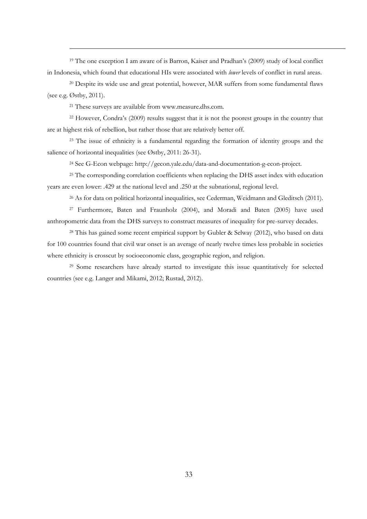<sup>19</sup> The one exception I am aware of is Barron, Kaiser and Pradhan's (2009) study of local conflict in Indonesia, which found that educational HIs were associated with *lower* levels of conflict in rural areas.

<sup>20</sup> Despite its wide use and great potential, however, MAR suffers from some fundamental flaws (see e.g. Østby, 2011).

<sup>21</sup> These surveys are available from www.measure.dhs.com.

-

<sup>22</sup> However, Condra's (2009) results suggest that it is not the poorest groups in the country that are at highest risk of rebellion, but rather those that are relatively better off.

<sup>23</sup> The issue of ethnicity is a fundamental regarding the formation of identity groups and the salience of horizontal inequalities (see Østby, 2011: 26-31).

<sup>24</sup> See G-Econ webpage: http://gecon.yale.edu/data-and-documentation-g-econ-project.

<sup>25</sup> The corresponding correlation coefficients when replacing the DHS asset index with education years are even lower: .429 at the national level and .250 at the subnational, regional level.

<sup>26</sup> As for data on political horizontal inequalities, see Cederman, Weidmann and Gleditsch (2011).

<sup>27</sup> Furthermore, Baten and Fraunholz (2004), and Moradi and Baten (2005) have used anthropometric data from the DHS surveys to construct measures of inequality for pre-survey decades.

<sup>28</sup> This has gained some recent empirical support by Gubler & Selway (2012), who based on data for 100 countries found that civil war onset is an average of nearly twelve times less probable in societies where ethnicity is crosscut by socioeconomic class, geographic region, and religion.

<sup>29</sup> Some researchers have already started to investigate this issue quantitatively for selected countries (see e.g. Langer and Mikami, 2012; Rustad, 2012).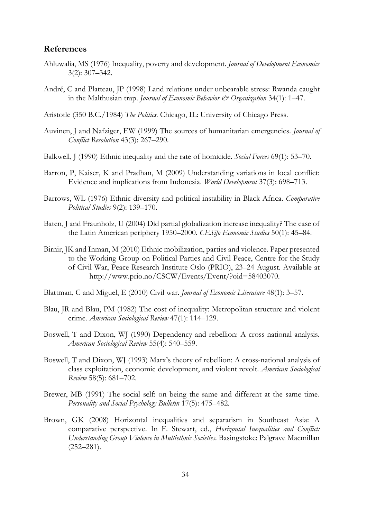## **References**

- Ahluwalia, MS (1976) Inequality, poverty and development. *Journal of Development Economics*  3(2): 307–342.
- André, C and Platteau, JP (1998) Land relations under unbearable stress: Rwanda caught in the Malthusian trap. *Journal of Economic Behavior & Organization* 34(1): 1–47.
- Aristotle (350 B.C./1984) *The Politics*. Chicago, IL: University of Chicago Press.
- Auvinen, J and Nafziger, EW (1999) The sources of humanitarian emergencies. *Journal of Conflict Resolution* 43(3): 267–290.
- Balkwell, J (1990) Ethnic inequality and the rate of homicide. *Social Forces* 69(1): 53–70.
- Barron, P, Kaiser, K and Pradhan, M (2009) Understanding variations in local conflict: Evidence and implications from Indonesia. *World Development* 37(3): 698–713.
- Barrows, WL (1976) Ethnic diversity and political instability in Black Africa. *Comparative Political Studies* 9(2): 139–170.
- Baten, J and Fraunholz, U (2004) Did partial globalization increase inequality? The case of the Latin American periphery 1950–2000. *CESifo Economic Studies* 50(1): 45–84.
- Birnir, JK and Inman, M (2010) Ethnic mobilization, parties and violence. Paper presented to the Working Group on Political Parties and Civil Peace, Centre for the Study of Civil War, Peace Research Institute Oslo (PRIO), 23–24 August. Available at http://www.prio.no/CSCW/Events/Event/?oid=58403070.
- Blattman, C and Miguel, E (2010) Civil war. *Journal of Economic Literature* 48(1): 3–57.
- Blau, JR and Blau, PM (1982) The cost of inequality: Metropolitan structure and violent crime. *American Sociological Review* 47(1): 114–129.
- Boswell, T and Dixon, WJ (1990) Dependency and rebellion: A cross-national analysis. *American Sociological Review* 55(4): 540–559.
- Boswell, T and Dixon, WJ (1993) Marx's theory of rebellion: A cross-national analysis of class exploitation, economic development, and violent revolt. *American Sociological Review* 58(5): 681–702.
- Brewer, MB (1991) The social self: on being the same and different at the same time. *Personality and Social Psychology Bulletin* 17(5): 475–482.
- Brown, GK (2008) Horizontal inequalities and separatism in Southeast Asia: A comparative perspective. In F. Stewart, ed., *Horizontal Inequalities and Conflict: Understanding Group Violence in Multiethnic Societies*. Basingstoke: Palgrave Macmillan (252–281).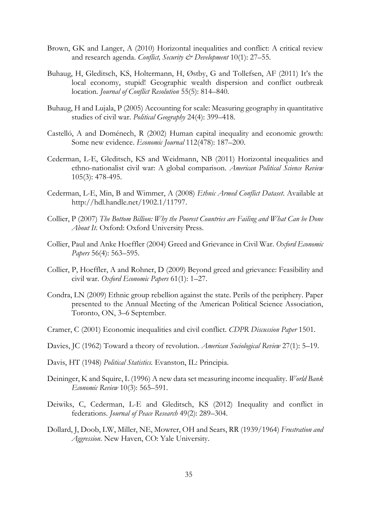- Brown, GK and Langer, A (2010) Horizontal inequalities and conflict: A critical review and research agenda. *Conflict, Security & Development* 10(1): 27–55.
- Buhaug, H, Gleditsch, KS, Holtermann, H, Østby, G and Tollefsen, AF (2011) It's the local economy, stupid! Geographic wealth dispersion and conflict outbreak location. *Journal of Conflict Resolution* 55(5): 814–840.
- Buhaug, H and Lujala, P (2005) Accounting for scale: Measuring geography in quantitative studies of civil war. *Political Geography* 24(4): 399–418.
- Castelló, A and Doménech, R (2002) Human capital inequality and economic growth: Some new evidence. *Economic Journal* 112(478): 187–200.
- Cederman, L-E, Gleditsch, KS and Weidmann, NB (2011) Horizontal inequalities and ethno-nationalist civil war: A global comparison. *American Political Science Review* 105(3): 478-495.
- Cederman, L-E, Min, B and Wimmer, A (2008) *Ethnic Armed Conflict Dataset*. Available at [http://hdl.handle.net/1902.1/11797.](http://hdl.handle.net/1902.1/11797)
- Collier, P (2007) *The Bottom Billion: Why the Poorest Countries are Failing and What Can be Done About It*. Oxford: Oxford University Press.
- Collier, Paul and Anke Hoeffler (2004) Greed and Grievance in Civil War. *Oxford Economic Papers* 56(4): 563–595.
- Collier, P, Hoeffler, A and Rohner, D (2009) Beyond greed and grievance: Feasibility and civil war. *Oxford Economic Papers* 61(1): 1–27.
- Condra, LN (2009) Ethnic group rebellion against the state. Perils of the periphery. Paper presented to the Annual Meeting of the American Political Science Association, Toronto, ON, 3–6 September.
- Cramer, C (2001) Economic inequalities and civil conflict. *CDPR Discussion Paper* 1501.
- Davies, JC (1962) Toward a theory of revolution. *American Sociological Review* 27(1): 5–19.
- Davis, HT (1948) *Political Statistics.* Evanston, IL: Principia.
- Deininger, K and Squire, L (1996) A new data set measuring income inequality. *World Bank Economic Review* 10(3): 565–591.
- Deiwiks, C, Cederman, L-E and Gleditsch, KS (2012) Inequality and conflict in federations. *Journal of Peace Research* 49(2): 289–304.
- Dollard, J, Doob, LW, Miller, NE, Mowrer, OH and Sears, RR (1939/1964) *Frustration and Aggression*. New Haven, CO: Yale University.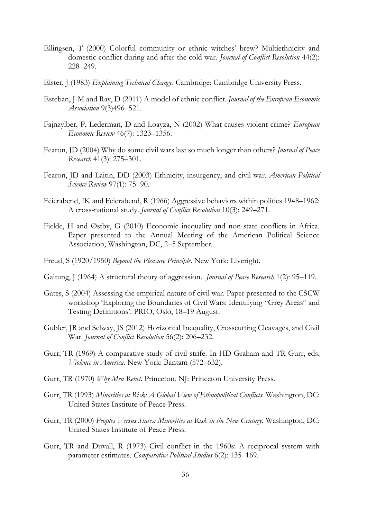- Ellingsen, T (2000) Colorful community or ethnic witches' brew? Multiethnicity and domestic conflict during and after the cold war. *Journal of Conflict Resolution* 44(2): 228–249.
- Elster, J (1983) *Explaining Technical Change*. Cambridge: Cambridge University Press.
- Esteban, J-M and Ray, D (2011) A model of ethnic conflict. *Journal of the European Economic Association* 9(3)496–521.
- Fajnzylber, P, Lederman, D and Loayza, N (2002) What causes violent crime? *European Economic Review* 46(7): 1323–1356.
- Fearon, JD (2004) Why do some civil wars last so much longer than others? *Journal of Peace Research* 41(3): 275–301.
- Fearon, JD and Laitin, DD (2003) Ethnicity, insurgency, and civil war. *American Political Science Review* 97(1): 75–90.
- Feierabend, IK and Feierabend, R (1966) Aggressive behaviors within polities 1948–1962: A cross-national study. *Journal of Conflict Resolution* 10(3): 249–271.
- Fjelde, H and Østby, G (2010) Economic inequality and non-state conflicts in Africa. Paper presented to the Annual Meeting of the American Political Science Association, Washington, DC, 2–5 September.
- Freud, S (1920/1950) *Beyond the Pleasure Principle*. New York: Liveright.
- Galtung, J (1964) A structural theory of aggression. *Journal of Peace Research* 1(2): 95–119.
- Gates, S (2004) Assessing the empirical nature of civil war. Paper presented to the CSCW workshop 'Exploring the Boundaries of Civil Wars: Identifying "Grey Areas" and Testing Definitions'. PRIO, Oslo, 18–19 August.
- Gubler, JR and Selway, JS (2012) Horizontal Inequality, Crosscutting Cleavages, and Civil War. *Journal of Conflict Resolution* 56(2): 206–232.
- Gurr, TR (1969) A comparative study of civil strife. In HD Graham and TR Gurr, eds, *Violence in America.* New York: Bantam (572–632).
- Gurr, TR (1970) *Why Men Rebel.* Princeton, NJ: Princeton University Press.
- Gurr, TR (1993) *Minorities at Risk: A Global View of Ethnopolitical Conflicts.* Washington, DC: United States Institute of Peace Press.
- Gurr, TR (2000) *Peoples Versus States: Minorities at Risk in the New Century.* Washington, DC: United States Institute of Peace Press.
- Gurr, TR and Duvall, R (1973) Civil conflict in the 1960s: A reciprocal system with parameter estimates. *Comparative Political Studies* 6(2): 135–169.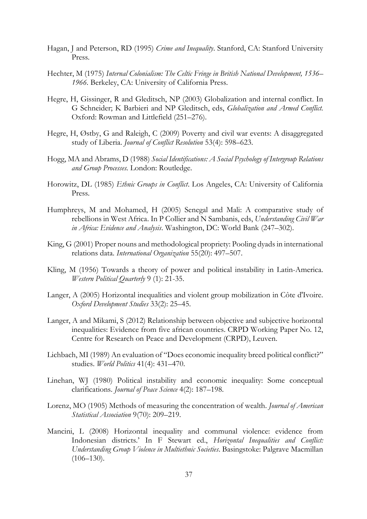- Hagan, J and Peterson, RD (1995) *Crime and Inequality*. Stanford, CA: Stanford University Press.
- Hechter, M (1975) *Internal Colonialism: The Celtic Fringe in British National Development, 1536– 1966.* Berkeley, CA: University of California Press.
- Hegre, H, Gissinger, R and Gleditsch, NP (2003) Globalization and internal conflict. In G Schneider; K Barbieri and NP Gleditsch, eds, *Globalization and Armed Conflict.* Oxford: Rowman and Littlefield (251–276).
- Hegre, H, Østby, G and Raleigh, C (2009) Poverty and civil war events: A disaggregated study of Liberia. *Journal of Conflict Resolution* 53(4): 598–623.
- Hogg, MA and Abrams, D (1988) *Social Identifications: A Social Psychology of Intergroup Relations and Group Processes.* London: Routledge.
- Horowitz, DL (1985) *Ethnic Groups in Conflict*. Los Angeles, CA: University of California Press.
- Humphreys, M and Mohamed, H (2005) Senegal and Mali: A comparative study of rebellions in West Africa. In P Collier and N Sambanis, eds, *Understanding Civil War in Africa: Evidence and Analysis*. Washington, DC: World Bank (247–302).
- King, G (2001) Proper nouns and methodological propriety: Pooling dyads in international relations data. *International Organization* 55(20): 497–507.
- Kling, M (1956) Towards a theory of power and political instability in Latin-America. *Western Political Quarterly* 9 (1): 21-35.
- Langer, A (2005) Horizontal inequalities and violent group mobilization in Côte d'Ivoire. *Oxford Development Studies* 33(2): 25–45.
- Langer, A and Mikami, S (2012) Relationship between objective and subjective horizontal inequalities: Evidence from five african countries. CRPD Working Paper No. 12, Centre for Research on Peace and Development (CRPD), Leuven.
- Lichbach, MI (1989) An evaluation of "Does economic inequality breed political conflict?" studies. *World Politics* 41(4): 431–470.
- Linehan, WJ (1980) Political instability and economic inequality: Some conceptual clarifications. *Journal of Peace Science* 4(2): 187–198.
- Lorenz, MO (1905) Methods of measuring the concentration of wealth. *Journal of American Statistical Association* 9(70): 209–219.
- Mancini, L (2008) Horizontal inequality and communal violence: evidence from Indonesian districts.' In F Stewart ed., *Horizontal Inequalities and Conflict: Understanding Group Violence in Multiethnic Societies*. Basingstoke: Palgrave Macmillan  $(106-130)$ .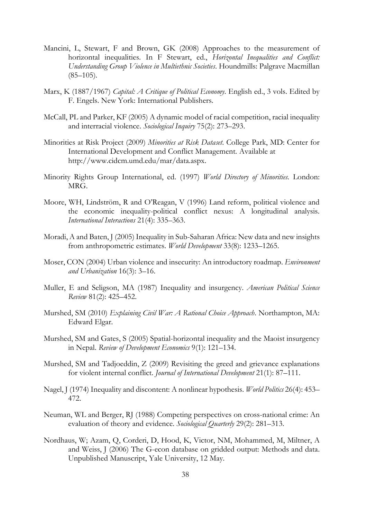- Mancini, L, Stewart, F and Brown, GK (2008) Approaches to the measurement of horizontal inequalities. In F Stewart, ed., *Horizontal Inequalities and Conflict: Understanding Group Violence in Multiethnic Societies*. Houndmills: Palgrave Macmillan  $(85-105)$ .
- Marx, K (1887/1967) *Capital: A Critique of Political Economy*. English ed., 3 vols. Edited by F. Engels. New York: International Publishers.
- McCall, PL and Parker, KF (2005) A dynamic model of racial competition, racial inequality and interracial violence. *Sociological Inquiry* 75(2): 273–293.
- Minorities at Risk Project (2009) *Minorities at Risk Dataset*. College Park, MD: Center for International Development and Conflict Management. Available at http://www.cidcm.umd.edu/mar/data.aspx.
- Minority Rights Group International, ed. (1997) *World Directory of Minorities.* London: MRG.
- Moore, WH, Lindström, R and O'Reagan, V (1996) Land reform, political violence and the economic inequality-political conflict nexus: A longitudinal analysis. *International Interactions* 21(4): 335–363.
- Moradi, A and Baten, J (2005) Inequality in Sub-Saharan Africa: New data and new insights from anthropometric estimates. *World Development* 33(8): 1233–1265.
- Moser, CON (2004) Urban violence and insecurity: An introductory roadmap. *Environment and Urbanization* 16(3): 3–16.
- Muller, E and Seligson, MA (1987) Inequality and insurgency. *American Political Science Review* 81(2): 425–452.
- Murshed, SM (2010) *Explaining Civil War: A Rational Choice Approach*. Northampton, MA: Edward Elgar.
- Murshed, SM and Gates, S (2005) Spatial-horizontal inequality and the Maoist insurgency in Nepal. *Review of Development Economics* 9(1): 121–134.
- Murshed, SM and Tadjoeddin, Z (2009) Revisiting the greed and grievance explanations for violent internal conflict. *Journal of International Development* 21(1): 87–111.
- Nagel, J (1974) Inequality and discontent: A nonlinear hypothesis. *World Politics* 26(4): 453– 472.
- Neuman, WL and Berger, RJ (1988) Competing perspectives on cross-national crime: An evaluation of theory and evidence. *Sociological Quarterly* 29(2): 281–313.
- Nordhaus, W; Azam, Q, Corderi, D, Hood, K, Victor, NM, Mohammed, M, Miltner, A and Weiss, J (2006) The G-econ database on gridded output: Methods and data. Unpublished Manuscript, Yale University, 12 May.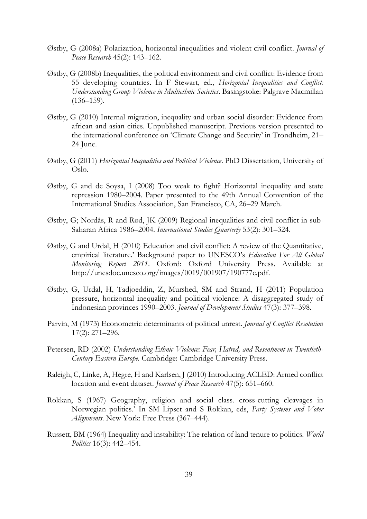- Østby, G (2008a) Polarization, horizontal inequalities and violent civil conflict. *Journal of Peace Research* 45(2): 143–162.
- Østby, G (2008b) Inequalities, the political environment and civil conflict: Evidence from 55 developing countries. In F Stewart, ed., *Horizontal Inequalities and Conflict: Understanding Group Violence in Multiethnic Societies*. Basingstoke: Palgrave Macmillan  $(136 - 159)$ .
- Østby, G (2010) Internal migration, inequality and urban social disorder: Evidence from african and asian cities. Unpublished manuscript. Previous version presented to the international conference on 'Climate Change and Security' in Trondheim, 21– 24 June.
- Østby, G (2011) *Horizontal Inequalities and Political Violence*. PhD Dissertation, University of Oslo.
- Østby, G and de Soysa, I (2008) Too weak to fight? Horizontal inequality and state repression 1980–2004. Paper presented to the 49th Annual Convention of the International Studies Association, San Francisco, CA, 26–29 March.
- Østby, G; Nordås, R and Rød, JK (2009) Regional inequalities and civil conflict in sub-Saharan Africa 1986–2004. *International Studies Quarterly* 53(2): 301–324.
- Østby, G and Urdal, H (2010) Education and civil conflict: A review of the Quantitative, empirical literature.' Background paper to UNESCO's *Education For All Global Monitoring Report 2011*. Oxford: Oxford University Press. Available at http://unesdoc.unesco.org/images/0019/001907/190777e.pdf.
- Østby, G, Urdal, H, Tadjoeddin, Z, Murshed, SM and Strand, H (2011) Population pressure, horizontal inequality and political violence: A disaggregated study of Indonesian provinces 1990–2003. *Journal of Development Studies* 47(3): 377–398.
- Parvin, M (1973) Econometric determinants of political unrest. *Journal of Conflict Resolution*  17(2): 271–296.
- Petersen, RD (2002) *Understanding Ethnic Violence: Fear, Hatred, and Resentment in Twentieth-Century Eastern Europe.* Cambridge: Cambridge University Press.
- Raleigh, C, Linke, A, Hegre, H and Karlsen, J (2010) Introducing ACLED: Armed conflict location and event dataset. *Journal of Peace Research* 47(5): 651–660.
- Rokkan, S (1967) Geography, religion and social class. cross-cutting cleavages in Norwegian politics.' In SM Lipset and S Rokkan, eds, *Party Systems and Voter Alignments*. New York: Free Press (367–444).
- Russett, BM (1964) Inequality and instability: The relation of land tenure to politics. *World Politics* 16(3): 442–454.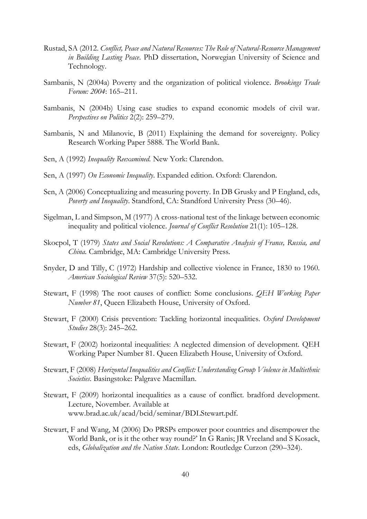- Rustad, SA (2012. *Conflict, Peace and Natural Resources: The Role of Natural-Resource Management in Building Lasting Peace*. PhD dissertation, Norwegian University of Science and Technology.
- Sambanis, N (2004a) Poverty and the organization of political violence. *Brookings Trade Forum: 2004*: 165–211.
- Sambanis, N (2004b) Using case studies to expand economic models of civil war. *Perspectives on Politics* 2(2): 259–279.
- Sambanis, N and Milanovic, B (2011) Explaining the demand for sovereignty. Policy Research Working Paper 5888. The World Bank.
- Sen, A (1992) *Inequality Reexamined.* New York: Clarendon.
- Sen, A (1997) *On Economic Inequality*. Expanded edition. Oxford: Clarendon.
- Sen, A (2006) Conceptualizing and measuring poverty. In DB Grusky and P England, eds, *Poverty and Inequality*. Standford, CA: Standford University Press (30–46).
- Sigelman, L and Simpson, M (1977) A cross-national test of the linkage between economic inequality and political violence. *Journal of Conflict Resolution* 21(1): 105–128.
- Skocpol, T (1979) *States and Social Revolutions: A Comparative Analysis of France, Russia, and China.* Cambridge, MA: Cambridge University Press.
- Snyder, D and Tilly, C (1972) Hardship and collective violence in France, 1830 to 1960. *American Sociological Review* 37(5): 520–532.
- Stewart, F (1998) The root causes of conflict: Some conclusions. *QEH Working Paper Number 81*, Queen Elizabeth House, University of Oxford.
- Stewart, F (2000) Crisis prevention: Tackling horizontal inequalities. *Oxford Development Studies* 28(3): 245–262.
- Stewart, F (2002) horizontal inequalities: A neglected dimension of development. QEH Working Paper Number 81. Queen Elizabeth House, University of Oxford.
- Stewart, F (2008) *Horizontal Inequalities and Conflict: Understanding Group Violence in Multiethnic Societies*. Basingstoke: Palgrave Macmillan.
- Stewart, F (2009) horizontal inequalities as a cause of conflict. bradford development. Lecture, November. Available at www.brad.ac.uk/acad/bcid/seminar/BDLStewart.pdf.
- Stewart, F and Wang, M (2006) Do PRSPs empower poor countries and disempower the World Bank, or is it the other way round?' In G Ranis; JR Vreeland and S Kosack, eds, *Globalization and the Nation State*. London: Routledge Curzon (290–324).